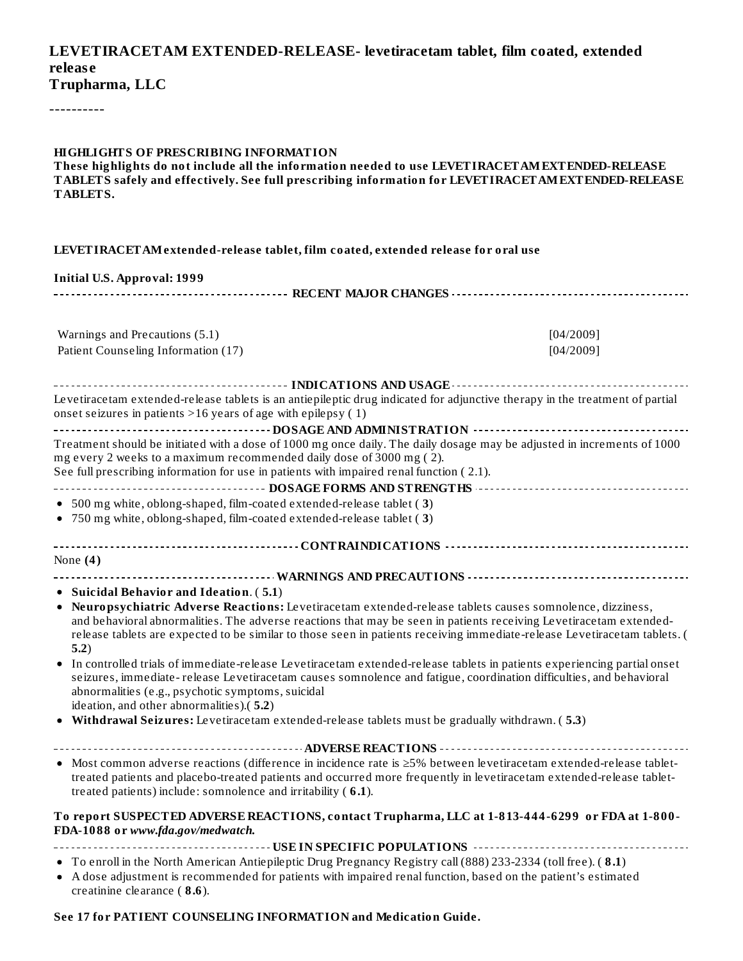#### **LEVETIRACETAM EXTENDED-RELEASE- levetiracetam tablet, film coated, extended releas e Trupharma, LLC**

----------

| <b>HIGHLIGHTS OF PRESCRIBING INFORMATION</b><br>These highlights do not include all the information needed to use LEVETIRACET AM EXTENDED-RELEASE<br>TABLETS safely and effectively. See full prescribing information for LEVETIRACETAM EXTENDED-RELEASE<br>TABLETS.                                                                                                  |           |
|-----------------------------------------------------------------------------------------------------------------------------------------------------------------------------------------------------------------------------------------------------------------------------------------------------------------------------------------------------------------------|-----------|
| LEVETIRACETAM extended-release tablet, film coated, extended release for oral use                                                                                                                                                                                                                                                                                     |           |
| <b>Initial U.S. Approval: 1999</b>                                                                                                                                                                                                                                                                                                                                    |           |
|                                                                                                                                                                                                                                                                                                                                                                       |           |
|                                                                                                                                                                                                                                                                                                                                                                       |           |
| Warnings and Precautions (5.1)                                                                                                                                                                                                                                                                                                                                        | [04/2009] |
| Patient Counseling Information (17)                                                                                                                                                                                                                                                                                                                                   | [04/2009] |
|                                                                                                                                                                                                                                                                                                                                                                       |           |
| Levetiracetam extended-release tablets is an antiepileptic drug indicated for adjunctive therapy in the treatment of partial<br>onset seizures in patients $>16$ years of age with epilepsy (1)                                                                                                                                                                       |           |
|                                                                                                                                                                                                                                                                                                                                                                       |           |
| Treatment should be initiated with a dose of 1000 mg once daily. The daily dosage may be adjusted in increments of 1000<br>mg every 2 weeks to a maximum recommended daily dose of 3000 mg (2).<br>See full prescribing information for use in patients with impaired renal function (2.1).                                                                           |           |
|                                                                                                                                                                                                                                                                                                                                                                       |           |
| • 500 mg white, oblong-shaped, film-coated extended-release tablet (3)                                                                                                                                                                                                                                                                                                |           |
| • 750 mg white, oblong-shaped, film-coated extended-release tablet (3)                                                                                                                                                                                                                                                                                                |           |
|                                                                                                                                                                                                                                                                                                                                                                       |           |
| None $(4)$                                                                                                                                                                                                                                                                                                                                                            |           |
|                                                                                                                                                                                                                                                                                                                                                                       |           |
| • Suicidal Behavior and Ideation. (5.1)                                                                                                                                                                                                                                                                                                                               |           |
| · Neuropsychiatric Adverse Reactions: Levetiracetam extended-release tablets causes somnolence, dizziness,<br>and behavioral abnormalities. The adverse reactions that may be seen in patients receiving Levetiracetam extended-<br>release tablets are expected to be similar to those seen in patients receiving immediate-release Levetiracetam tablets. (<br>5.2) |           |
| In controlled trials of immediate-release Levetiracetam extended-release tablets in patients experiencing partial onset<br>seizures, immediate-release Levetiracetam causes somnolence and fatigue, coordination difficulties, and behavioral<br>abnormalities (e.g., psychotic symptoms, suicidal<br>ideation, and other abnormalities).(5.2)                        |           |
| • Withdrawal Seizures: Levetiracetam extended-release tablets must be gradually withdrawn. (5.3)                                                                                                                                                                                                                                                                      |           |
|                                                                                                                                                                                                                                                                                                                                                                       |           |
| • Most common adverse reactions (difference in incidence rate is ≥5% between levetiracetam extended-release tablet-<br>treated patients and placebo-treated patients and occurred more frequently in levetiracetam extended-release tablet-<br>treated patients) include: somnolence and irritability (6.1).                                                          |           |
| To report SUSPECTED ADVERSE REACTIONS, contact Trupharma, LLC at 1-813-444-6299 or FDA at 1-800-<br>FDA-1088 or www.fda.gov/medwatch.                                                                                                                                                                                                                                 |           |
|                                                                                                                                                                                                                                                                                                                                                                       |           |
| • To enroll in the North American Antiepileptic Drug Pregnancy Registry call (888) 233-2334 (toll free). (8.1)<br>• A dose adjustment is recommended for patients with impaired renal function, based on the patient's estimated<br>creatinine clearance (8.6).                                                                                                       |           |

#### **See 17 for PATIENT COUNSELING INFORMATION and Medication Guide.**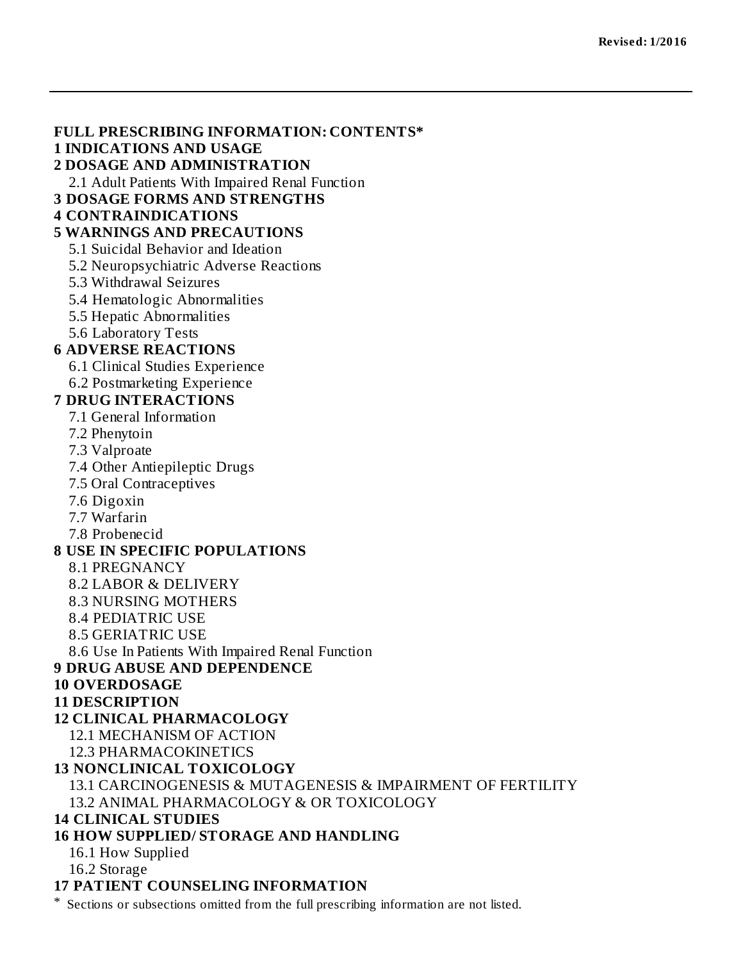#### **FULL PRESCRIBING INFORMATION: CONTENTS\***

#### **1 INDICATIONS AND USAGE**

#### **2 DOSAGE AND ADMINISTRATION**

2.1 Adult Patients With Impaired Renal Function

**3 DOSAGE FORMS AND STRENGTHS**

#### **4 CONTRAINDICATIONS**

#### **5 WARNINGS AND PRECAUTIONS**

5.1 Suicidal Behavior and Ideation

5.2 Neuropsychiatric Adverse Reactions

5.3 Withdrawal Seizures

5.4 Hematologic Abnormalities

- 5.5 Hepatic Abnormalities
- 5.6 Laboratory Tests

#### **6 ADVERSE REACTIONS**

6.1 Clinical Studies Experience

6.2 Postmarketing Experience

#### **7 DRUG INTERACTIONS**

7.1 General Information

7.2 Phenytoin

7.3 Valproate

7.4 Other Antiepileptic Drugs

7.5 Oral Contraceptives

7.6 Digoxin

7.7 Warfarin

7.8 Probenecid

#### **8 USE IN SPECIFIC POPULATIONS**

8.1 PREGNANCY

8.2 LABOR & DELIVERY

8.3 NURSING MOTHERS

8.4 PEDIATRIC USE

8.5 GERIATRIC USE

8.6 Use In Patients With Impaired Renal Function

#### **9 DRUG ABUSE AND DEPENDENCE**

#### **10 OVERDOSAGE**

#### **11 DESCRIPTION**

**12 CLINICAL PHARMACOLOGY**

12.1 MECHANISM OF ACTION

12.3 PHARMACOKINETICS

#### **13 NONCLINICAL TOXICOLOGY**

13.1 CARCINOGENESIS & MUTAGENESIS & IMPAIRMENT OF FERTILITY 13.2 ANIMAL PHARMACOLOGY & OR TOXICOLOGY

#### **14 CLINICAL STUDIES**

#### **16 HOW SUPPLIED/ STORAGE AND HANDLING**

16.1 How Supplied

16.2 Storage

#### **17 PATIENT COUNSELING INFORMATION**

\* Sections or subsections omitted from the full prescribing information are not listed.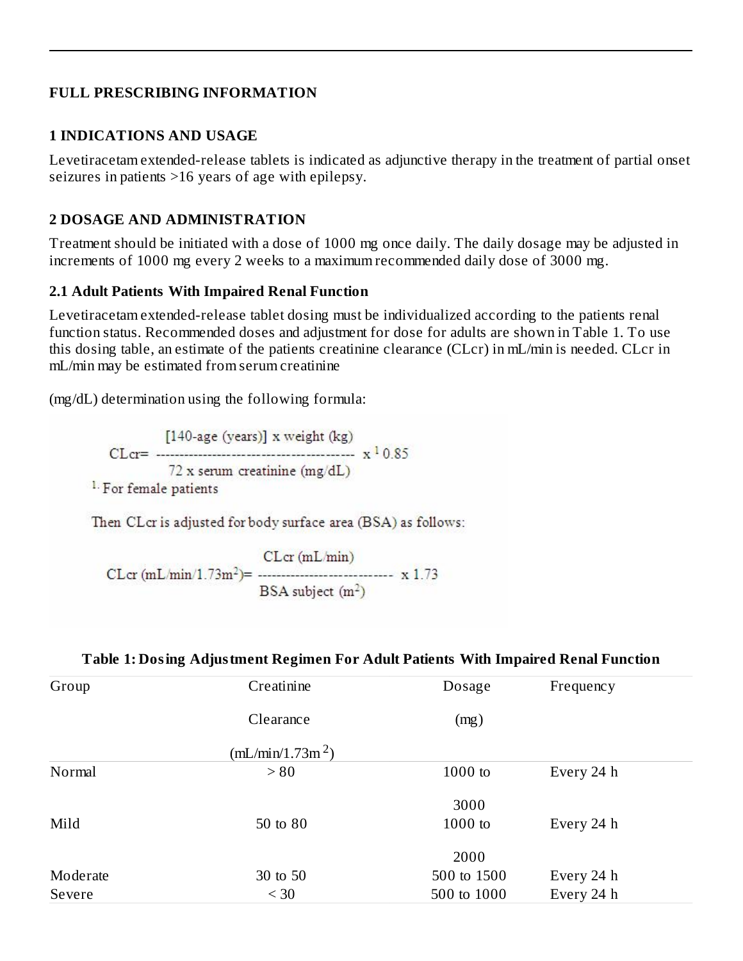#### **FULL PRESCRIBING INFORMATION**

#### **1 INDICATIONS AND USAGE**

Levetiracetam extended-release tablets is indicated as adjunctive therapy in the treatment of partial onset seizures in patients >16 years of age with epilepsy.

#### **2 DOSAGE AND ADMINISTRATION**

Treatment should be initiated with a dose of 1000 mg once daily. The daily dosage may be adjusted in increments of 1000 mg every 2 weeks to a maximum recommended daily dose of 3000 mg.

#### **2.1 Adult Patients With Impaired Renal Function**

Levetiracetam extended-release tablet dosing must be individualized according to the patients renal function status. Recommended doses and adjustment for dose for adults are shown in Table 1. To use this dosing table, an estimate of the patients creatinine clearance (CLcr) in mL/min is needed. CLcr in mL/min may be estimated from serum creatinine

(mg/dL) determination using the following formula:

[140-age (years)] x weight (kg) 72 x serum creatinine  $(mg/dL)$ <sup>1.</sup> For female patients

Then CLcr is adjusted for body surface area (BSA) as follows:

 $CLcr$  (mL/min) BSA subject  $(m^2)$ 

| Group    | Creatinine                   | Dosage      | Frequency  |  |
|----------|------------------------------|-------------|------------|--|
|          | Clearance                    | (mg)        |            |  |
|          | (mL/min/1.73m <sup>2</sup> ) |             |            |  |
| Normal   | > 80                         | $1000$ to   | Every 24 h |  |
|          |                              | 3000        |            |  |
| Mild     | 50 to 80                     | $1000$ to   | Every 24 h |  |
|          |                              | 2000        |            |  |
| Moderate | 30 to 50                     | 500 to 1500 | Every 24 h |  |
| Severe   | $<$ 30                       | 500 to 1000 | Every 24 h |  |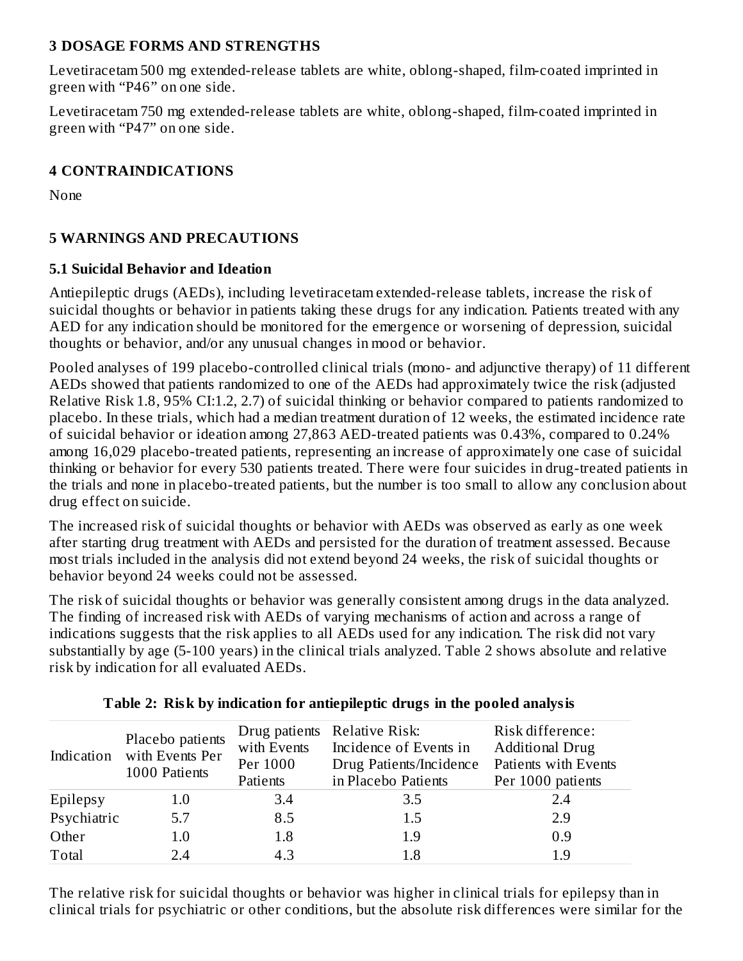#### **3 DOSAGE FORMS AND STRENGTHS**

Levetiracetam 500 mg extended-release tablets are white, oblong-shaped, film-coated imprinted in green with "P46" on one side.

Levetiracetam 750 mg extended-release tablets are white, oblong-shaped, film-coated imprinted in green with "P47" on one side.

### **4 CONTRAINDICATIONS**

None

### **5 WARNINGS AND PRECAUTIONS**

#### **5.1 Suicidal Behavior and Ideation**

Antiepileptic drugs (AEDs), including levetiracetam extended-release tablets, increase the risk of suicidal thoughts or behavior in patients taking these drugs for any indication. Patients treated with any AED for any indication should be monitored for the emergence or worsening of depression, suicidal thoughts or behavior, and/or any unusual changes in mood or behavior.

Pooled analyses of 199 placebo-controlled clinical trials (mono- and adjunctive therapy) of 11 different AEDs showed that patients randomized to one of the AEDs had approximately twice the risk (adjusted Relative Risk 1.8, 95% CI:1.2, 2.7) of suicidal thinking or behavior compared to patients randomized to placebo. In these trials, which had a median treatment duration of 12 weeks, the estimated incidence rate of suicidal behavior or ideation among 27,863 AED-treated patients was 0.43%, compared to 0.24% among 16,029 placebo-treated patients, representing an increase of approximately one case of suicidal thinking or behavior for every 530 patients treated. There were four suicides in drug-treated patients in the trials and none in placebo-treated patients, but the number is too small to allow any conclusion about drug effect on suicide.

The increased risk of suicidal thoughts or behavior with AEDs was observed as early as one week after starting drug treatment with AEDs and persisted for the duration of treatment assessed. Because most trials included in the analysis did not extend beyond 24 weeks, the risk of suicidal thoughts or behavior beyond 24 weeks could not be assessed.

The risk of suicidal thoughts or behavior was generally consistent among drugs in the data analyzed. The finding of increased risk with AEDs of varying mechanisms of action and across a range of indications suggests that the risk applies to all AEDs used for any indication. The risk did not vary substantially by age (5-100 years) in the clinical trials analyzed. Table 2 shows absolute and relative risk by indication for all evaluated AEDs.

|             | Placebo patients<br>Indication with Events Per<br>1000 Patients | with Events<br>Per 1000<br>Patients | Drug patients Relative Risk:<br>Incidence of Events in<br>Drug Patients/Incidence<br>in Placebo Patients | Risk difference:<br><b>Additional Drug</b><br>Patients with Events<br>Per 1000 patients |
|-------------|-----------------------------------------------------------------|-------------------------------------|----------------------------------------------------------------------------------------------------------|-----------------------------------------------------------------------------------------|
| Epilepsy    | $1.0\,$                                                         | 3.4                                 | 3.5                                                                                                      | 2.4                                                                                     |
| Psychiatric | 5.7                                                             | 8.5                                 | 1.5                                                                                                      | 2.9                                                                                     |
| Other       | 1.0                                                             | 1.8                                 | 1.9                                                                                                      | 0.9                                                                                     |
| Total       | 2.4                                                             | 4.3                                 | 1.8                                                                                                      | 1 ዓ                                                                                     |

# **Table 2: Risk by indication for antiepileptic drugs in the pooled analysis**

The relative risk for suicidal thoughts or behavior was higher in clinical trials for epilepsy than in clinical trials for psychiatric or other conditions, but the absolute risk differences were similar for the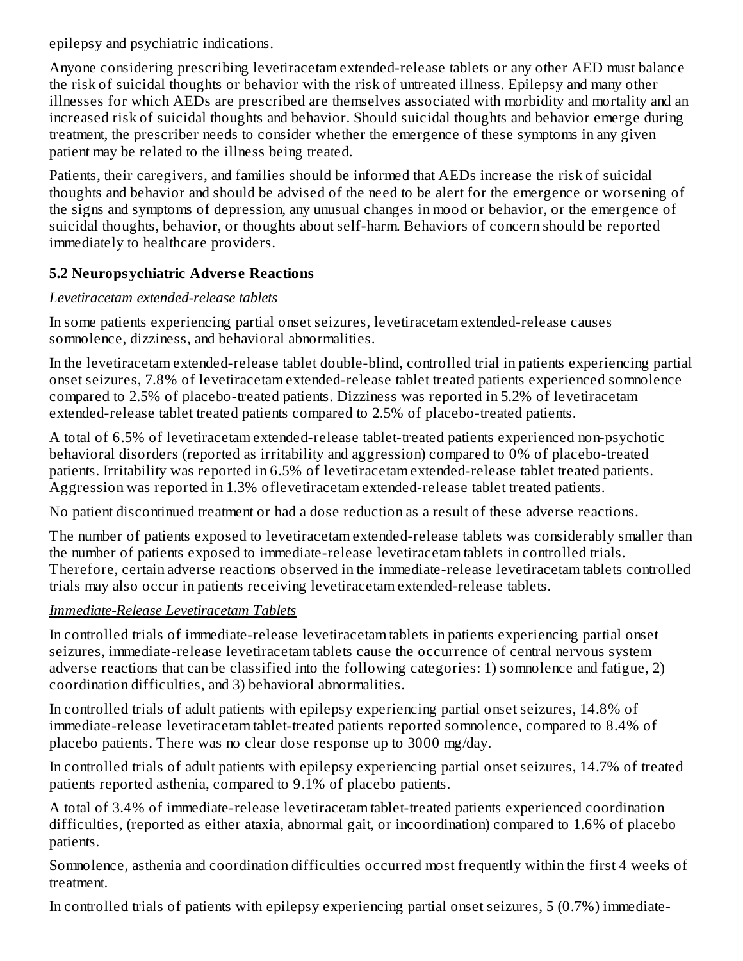epilepsy and psychiatric indications.

Anyone considering prescribing levetiracetam extended-release tablets or any other AED must balance the risk of suicidal thoughts or behavior with the risk of untreated illness. Epilepsy and many other illnesses for which AEDs are prescribed are themselves associated with morbidity and mortality and an increased risk of suicidal thoughts and behavior. Should suicidal thoughts and behavior emerge during treatment, the prescriber needs to consider whether the emergence of these symptoms in any given patient may be related to the illness being treated.

Patients, their caregivers, and families should be informed that AEDs increase the risk of suicidal thoughts and behavior and should be advised of the need to be alert for the emergence or worsening of the signs and symptoms of depression, any unusual changes in mood or behavior, or the emergence of suicidal thoughts, behavior, or thoughts about self-harm. Behaviors of concern should be reported immediately to healthcare providers.

# **5.2 Neuropsychiatric Advers e Reactions**

### *Levetiracetam extended-release tablets*

In some patients experiencing partial onset seizures, levetiracetam extended-release causes somnolence, dizziness, and behavioral abnormalities.

In the levetiracetam extended-release tablet double-blind, controlled trial in patients experiencing partial onset seizures, 7.8% of levetiracetam extended-release tablet treated patients experienced somnolence compared to 2.5% of placebo-treated patients. Dizziness was reported in 5.2% of levetiracetam extended-release tablet treated patients compared to 2.5% of placebo-treated patients.

A total of 6.5% of levetiracetam extended-release tablet-treated patients experienced non-psychotic behavioral disorders (reported as irritability and aggression) compared to 0% of placebo-treated patients. Irritability was reported in 6.5% of levetiracetam extended-release tablet treated patients. Aggression was reported in 1.3% oflevetiracetam extended-release tablet treated patients.

No patient discontinued treatment or had a dose reduction as a result of these adverse reactions.

The number of patients exposed to levetiracetam extended-release tablets was considerably smaller than the number of patients exposed to immediate-release levetiracetam tablets in controlled trials. Therefore, certain adverse reactions observed in the immediate-release levetiracetam tablets controlled trials may also occur in patients receiving levetiracetam extended-release tablets.

# *Immediate-Release Levetiracetam Tablets*

In controlled trials of immediate-release levetiracetam tablets in patients experiencing partial onset seizures, immediate-release levetiracetam tablets cause the occurrence of central nervous system adverse reactions that can be classified into the following categories: 1) somnolence and fatigue, 2) coordination difficulties, and 3) behavioral abnormalities.

In controlled trials of adult patients with epilepsy experiencing partial onset seizures, 14.8% of immediate-release levetiracetam tablet-treated patients reported somnolence, compared to 8.4% of placebo patients. There was no clear dose response up to 3000 mg/day.

In controlled trials of adult patients with epilepsy experiencing partial onset seizures, 14.7% of treated patients reported asthenia, compared to 9.1% of placebo patients.

A total of 3.4% of immediate-release levetiracetam tablet-treated patients experienced coordination difficulties, (reported as either ataxia, abnormal gait, or incoordination) compared to 1.6% of placebo patients.

Somnolence, asthenia and coordination difficulties occurred most frequently within the first 4 weeks of treatment.

In controlled trials of patients with epilepsy experiencing partial onset seizures, 5 (0.7%) immediate-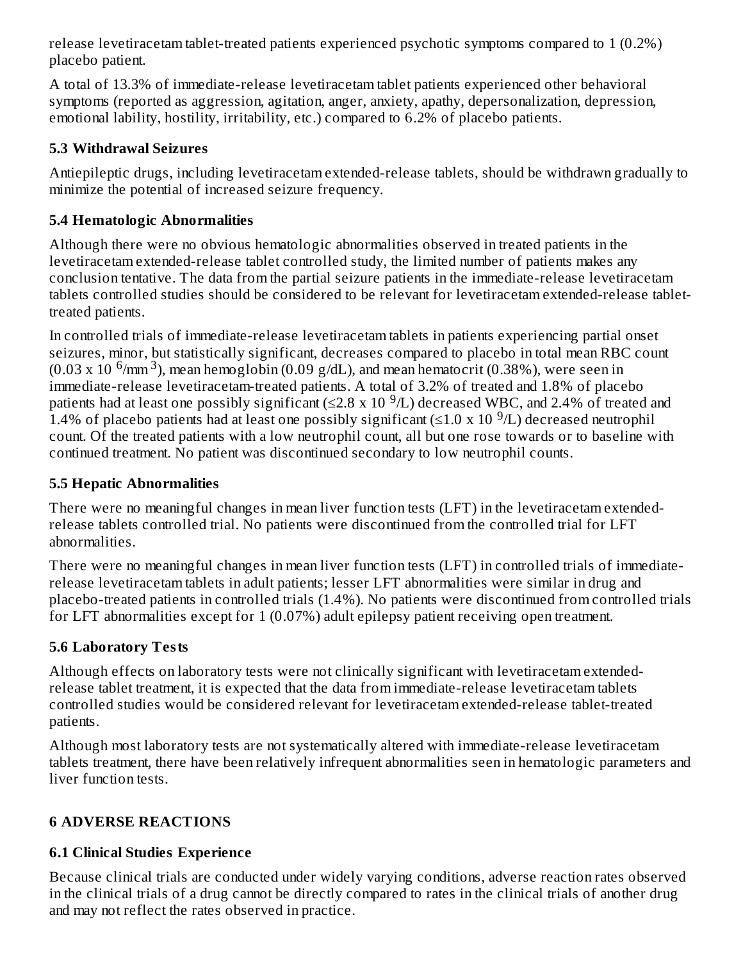release levetiracetam tablet-treated patients experienced psychotic symptoms compared to 1 (0.2%) placebo patient.

A total of 13.3% of immediate-release levetiracetam tablet patients experienced other behavioral symptoms (reported as aggression, agitation, anger, anxiety, apathy, depersonalization, depression, emotional lability, hostility, irritability, etc.) compared to 6.2% of placebo patients.

# **5.3 Withdrawal Seizures**

Antiepileptic drugs, including levetiracetam extended-release tablets, should be withdrawn gradually to minimize the potential of increased seizure frequency.

# **5.4 Hematologic Abnormalities**

Although there were no obvious hematologic abnormalities observed in treated patients in the levetiracetam extended-release tablet controlled study, the limited number of patients makes any conclusion tentative. The data from the partial seizure patients in the immediate-release levetiracetam tablets controlled studies should be considered to be relevant for levetiracetam extended-release tablettreated patients.

In controlled trials of immediate-release levetiracetam tablets in patients experiencing partial onset seizures, minor, but statistically significant, decreases compared to placebo in total mean RBC count  $(0.03 \times 10^{-6}$ /mm <sup>3</sup>), mean hemoglobin (0.09 g/dL), and mean hematocrit (0.38%), were seen in immediate-release levetiracetam-treated patients. A total of 3.2% of treated and 1.8% of placebo patients had at least one possibly significant (≤2.8 x 10  $^9$ /L) decreased WBC, and 2.4% of treated and 1.4% of placebo patients had at least one possibly significant  $(\leq 1.0 \times 10^{-9}L)$  decreased neutrophil count. Of the treated patients with a low neutrophil count, all but one rose towards or to baseline with continued treatment. No patient was discontinued secondary to low neutrophil counts.

# **5.5 Hepatic Abnormalities**

There were no meaningful changes in mean liver function tests (LFT) in the levetiracetam extendedrelease tablets controlled trial. No patients were discontinued from the controlled trial for LFT abnormalities.

There were no meaningful changes in mean liver function tests (LFT) in controlled trials of immediaterelease levetiracetam tablets in adult patients; lesser LFT abnormalities were similar in drug and placebo-treated patients in controlled trials (1.4%). No patients were discontinued from controlled trials for LFT abnormalities except for 1 (0.07%) adult epilepsy patient receiving open treatment.

# **5.6 Laboratory Tests**

Although effects on laboratory tests were not clinically significant with levetiracetam extendedrelease tablet treatment, it is expected that the data from immediate-release levetiracetam tablets controlled studies would be considered relevant for levetiracetam extended-release tablet-treated patients.

Although most laboratory tests are not systematically altered with immediate-release levetiracetam tablets treatment, there have been relatively infrequent abnormalities seen in hematologic parameters and liver function tests.

# **6 ADVERSE REACTIONS**

# **6.1 Clinical Studies Experience**

Because clinical trials are conducted under widely varying conditions, adverse reaction rates observed in the clinical trials of a drug cannot be directly compared to rates in the clinical trials of another drug and may not reflect the rates observed in practice.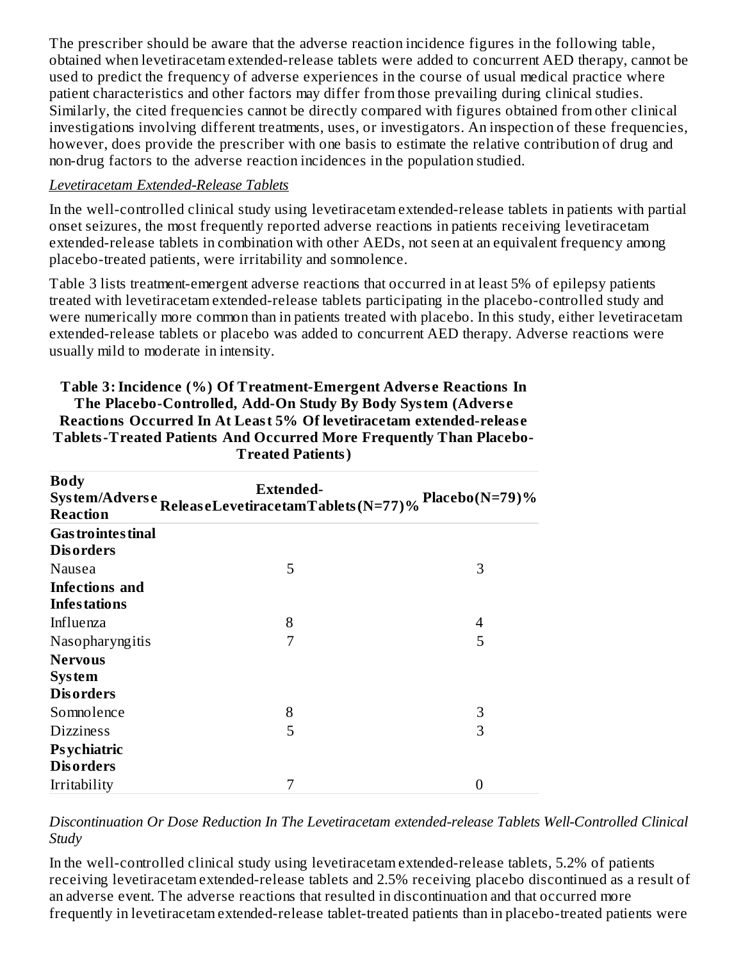The prescriber should be aware that the adverse reaction incidence figures in the following table, obtained when levetiracetam extended-release tablets were added to concurrent AED therapy, cannot be used to predict the frequency of adverse experiences in the course of usual medical practice where patient characteristics and other factors may differ from those prevailing during clinical studies. Similarly, the cited frequencies cannot be directly compared with figures obtained from other clinical investigations involving different treatments, uses, or investigators. An inspection of these frequencies, however, does provide the prescriber with one basis to estimate the relative contribution of drug and non-drug factors to the adverse reaction incidences in the population studied.

#### *Levetiracetam Extended-Release Tablets*

In the well-controlled clinical study using levetiracetam extended-release tablets in patients with partial onset seizures, the most frequently reported adverse reactions in patients receiving levetiracetam extended-release tablets in combination with other AEDs, not seen at an equivalent frequency among placebo-treated patients, were irritability and somnolence.

Table 3 lists treatment-emergent adverse reactions that occurred in at least 5% of epilepsy patients treated with levetiracetam extended-release tablets participating in the placebo-controlled study and were numerically more common than in patients treated with placebo. In this study, either levetiracetam extended-release tablets or placebo was added to concurrent AED therapy. Adverse reactions were usually mild to moderate in intensity.

| <b>Body</b><br><b>Reaction</b>         | Extended-<br>System/Adverse<br>ReleaseLevetiracetamTablets(N=77)% | Placebo( $N=79$ )% |
|----------------------------------------|-------------------------------------------------------------------|--------------------|
| <b>Gas trointes tinal</b>              |                                                                   |                    |
| <b>Disorders</b>                       |                                                                   |                    |
| Nausea                                 | 5                                                                 | 3                  |
| <b>Infections</b> and                  |                                                                   |                    |
| <b>Infestations</b>                    |                                                                   |                    |
| Influenza                              | 8                                                                 | 4                  |
| Nasopharyngitis                        | 7                                                                 | 5                  |
| <b>Nervous</b>                         |                                                                   |                    |
| <b>System</b>                          |                                                                   |                    |
| <b>Disorders</b>                       |                                                                   |                    |
| Somnolence                             | 8                                                                 | 3                  |
| <b>Dizziness</b>                       | 5                                                                 | 3                  |
| <b>Psychiatric</b><br><b>Disorders</b> |                                                                   |                    |
| Irritability                           | 7                                                                 | 0                  |

**Table 3:Incidence (%) Of Treatment-Emergent Advers e Reactions In The Placebo-Controlled, Add-On Study By Body System (Advers e Reactions Occurred In At Least 5% Of levetiracetam extended-releas e Tablets-Treated Patients And Occurred More Frequently Than Placebo-Treated Patients)**

*Discontinuation Or Dose Reduction In The Levetiracetam extended-release Tablets Well-Controlled Clinical Study*

In the well-controlled clinical study using levetiracetam extended-release tablets, 5.2% of patients receiving levetiracetam extended-release tablets and 2.5% receiving placebo discontinued as a result of an adverse event. The adverse reactions that resulted in discontinuation and that occurred more frequently in levetiracetam extended-release tablet-treated patients than in placebo-treated patients were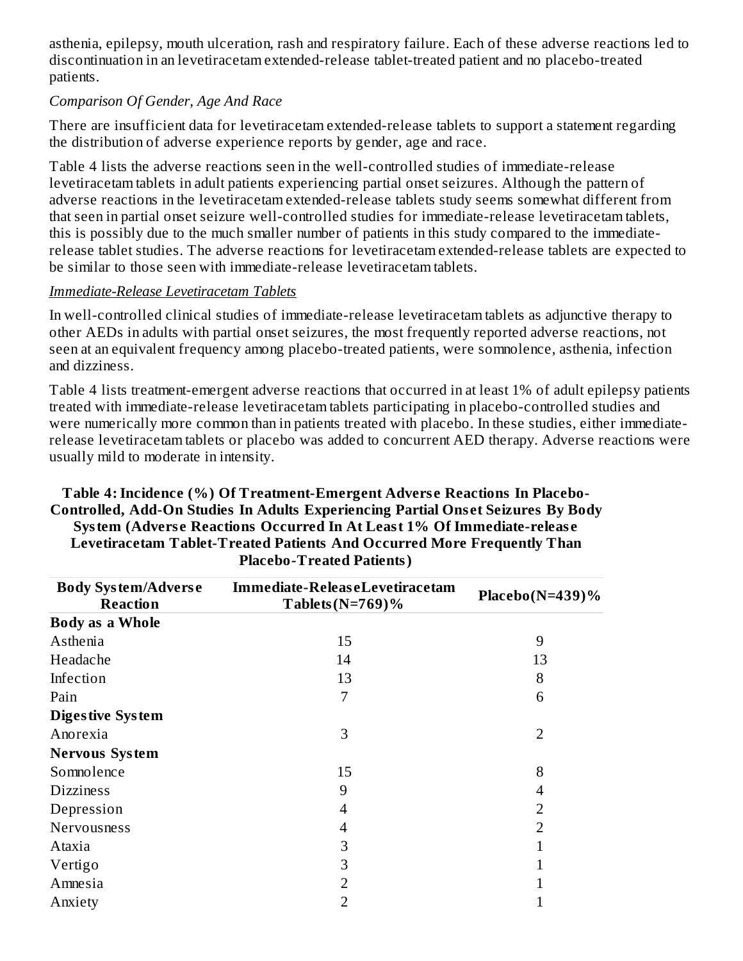asthenia, epilepsy, mouth ulceration, rash and respiratory failure. Each of these adverse reactions led to discontinuation in an levetiracetam extended-release tablet-treated patient and no placebo-treated patients.

#### *Comparison Of Gender, Age And Race*

There are insufficient data for levetiracetam extended-release tablets to support a statement regarding the distribution of adverse experience reports by gender, age and race.

Table 4 lists the adverse reactions seen in the well-controlled studies of immediate-release levetiracetam tablets in adult patients experiencing partial onset seizures. Although the pattern of adverse reactions in the levetiracetam extended-release tablets study seems somewhat different from that seen in partial onset seizure well-controlled studies for immediate-release levetiracetam tablets, this is possibly due to the much smaller number of patients in this study compared to the immediaterelease tablet studies. The adverse reactions for levetiracetam extended-release tablets are expected to be similar to those seen with immediate-release levetiracetam tablets.

#### *Immediate-Release Levetiracetam Tablets*

In well-controlled clinical studies of immediate-release levetiracetam tablets as adjunctive therapy to other AEDs in adults with partial onset seizures, the most frequently reported adverse reactions, not seen at an equivalent frequency among placebo-treated patients, were somnolence, asthenia, infection and dizziness.

Table 4 lists treatment-emergent adverse reactions that occurred in at least 1% of adult epilepsy patients treated with immediate-release levetiracetam tablets participating in placebo-controlled studies and were numerically more common than in patients treated with placebo. In these studies, either immediaterelease levetiracetam tablets or placebo was added to concurrent AED therapy. Adverse reactions were usually mild to moderate in intensity.

| <b>Body System/Adverse</b><br><b>Reaction</b> | Immediate-ReleaseLevetiracetam<br>Tablets ( $N=769$ )% | Placebo( $N=439$ )% |  |
|-----------------------------------------------|--------------------------------------------------------|---------------------|--|
| <b>Body as a Whole</b>                        |                                                        |                     |  |
| Asthenia                                      | 15                                                     | 9                   |  |
| Headache                                      | 14                                                     | 13                  |  |
| Infection                                     | 13                                                     | 8                   |  |
| Pain                                          | 7                                                      | 6                   |  |
| <b>Digestive System</b>                       |                                                        |                     |  |
| Anorexia                                      | 3                                                      | $\overline{2}$      |  |
| <b>Nervous System</b>                         |                                                        |                     |  |
| Somnolence                                    | 15                                                     | 8                   |  |
| <b>Dizziness</b>                              | 9                                                      | 4                   |  |
| Depression                                    | 4                                                      | 2                   |  |
| <b>Nervousness</b>                            | 4                                                      | 2                   |  |
| Ataxia                                        | З                                                      |                     |  |
| Vertigo                                       | З                                                      |                     |  |
| Amnesia                                       | 2                                                      |                     |  |
| Anxiety                                       | 2                                                      |                     |  |

#### **Table 4:Incidence (%) Of Treatment-Emergent Advers e Reactions In Placebo-Controlled, Add-On Studies In Adults Experiencing Partial Ons et Seizures By Body System (Advers e Reactions Occurred In At Least 1% Of Immediate-releas e Levetiracetam Tablet-Treated Patients And Occurred More Frequently Than Placebo-Treated Patients)**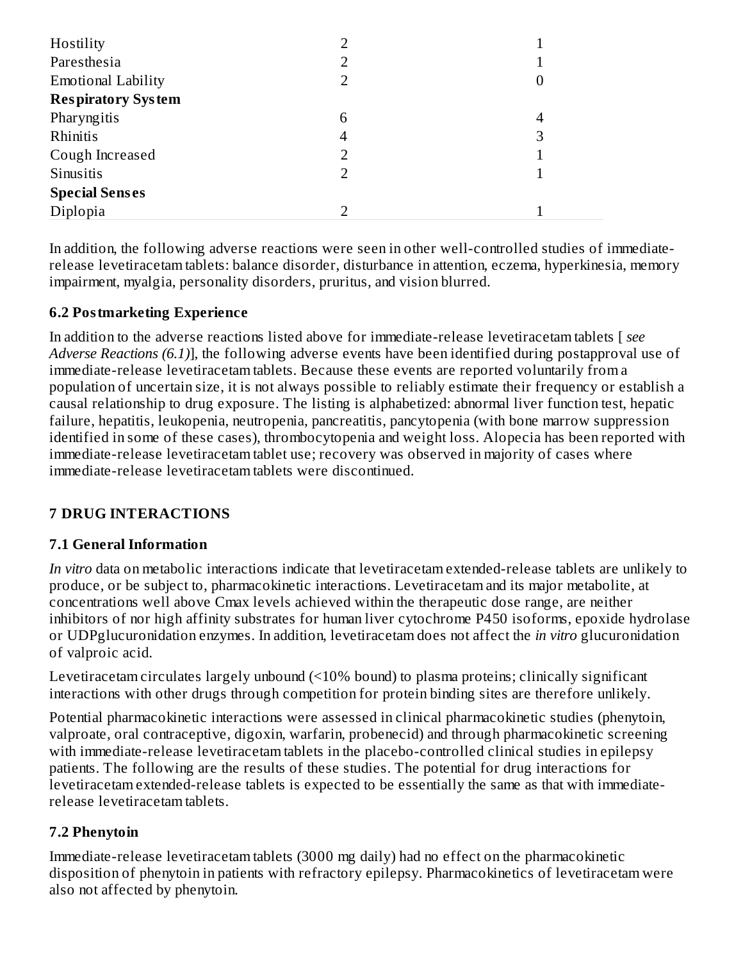| Hostility                 |   |   |
|---------------------------|---|---|
| Paresthesia               | 2 |   |
| <b>Emotional Lability</b> | 2 | U |
| <b>Respiratory System</b> |   |   |
| Pharyngitis               | 6 | 4 |
| Rhinitis                  | 4 | 3 |
| Cough Increased           |   |   |
| Sinusitis                 | 2 |   |
| <b>Special Senses</b>     |   |   |
| Diplopia                  |   |   |

In addition, the following adverse reactions were seen in other well-controlled studies of immediaterelease levetiracetam tablets: balance disorder, disturbance in attention, eczema, hyperkinesia, memory impairment, myalgia, personality disorders, pruritus, and vision blurred.

### **6.2 Postmarketing Experience**

In addition to the adverse reactions listed above for immediate-release levetiracetam tablets [ *see Adverse Reactions (6.1)*], the following adverse events have been identified during postapproval use of immediate-release levetiracetam tablets. Because these events are reported voluntarily from a population of uncertain size, it is not always possible to reliably estimate their frequency or establish a causal relationship to drug exposure. The listing is alphabetized: abnormal liver function test, hepatic failure, hepatitis, leukopenia, neutropenia, pancreatitis, pancytopenia (with bone marrow suppression identified in some of these cases), thrombocytopenia and weight loss. Alopecia has been reported with immediate-release levetiracetam tablet use; recovery was observed in majority of cases where immediate-release levetiracetam tablets were discontinued.

# **7 DRUG INTERACTIONS**

#### **7.1 General Information**

*In vitro* data on metabolic interactions indicate that levetiracetam extended-release tablets are unlikely to produce, or be subject to, pharmacokinetic interactions. Levetiracetam and its major metabolite, at concentrations well above Cmax levels achieved within the therapeutic dose range, are neither inhibitors of nor high affinity substrates for human liver cytochrome P450 isoforms, epoxide hydrolase or UDPglucuronidation enzymes. In addition, levetiracetam does not affect the *in vitro* glucuronidation of valproic acid.

Levetiracetam circulates largely unbound (<10% bound) to plasma proteins; clinically significant interactions with other drugs through competition for protein binding sites are therefore unlikely.

Potential pharmacokinetic interactions were assessed in clinical pharmacokinetic studies (phenytoin, valproate, oral contraceptive, digoxin, warfarin, probenecid) and through pharmacokinetic screening with immediate-release levetiracetam tablets in the placebo-controlled clinical studies in epilepsy patients. The following are the results of these studies. The potential for drug interactions for levetiracetam extended-release tablets is expected to be essentially the same as that with immediaterelease levetiracetam tablets.

#### **7.2 Phenytoin**

Immediate-release levetiracetam tablets (3000 mg daily) had no effect on the pharmacokinetic disposition of phenytoin in patients with refractory epilepsy. Pharmacokinetics of levetiracetam were also not affected by phenytoin.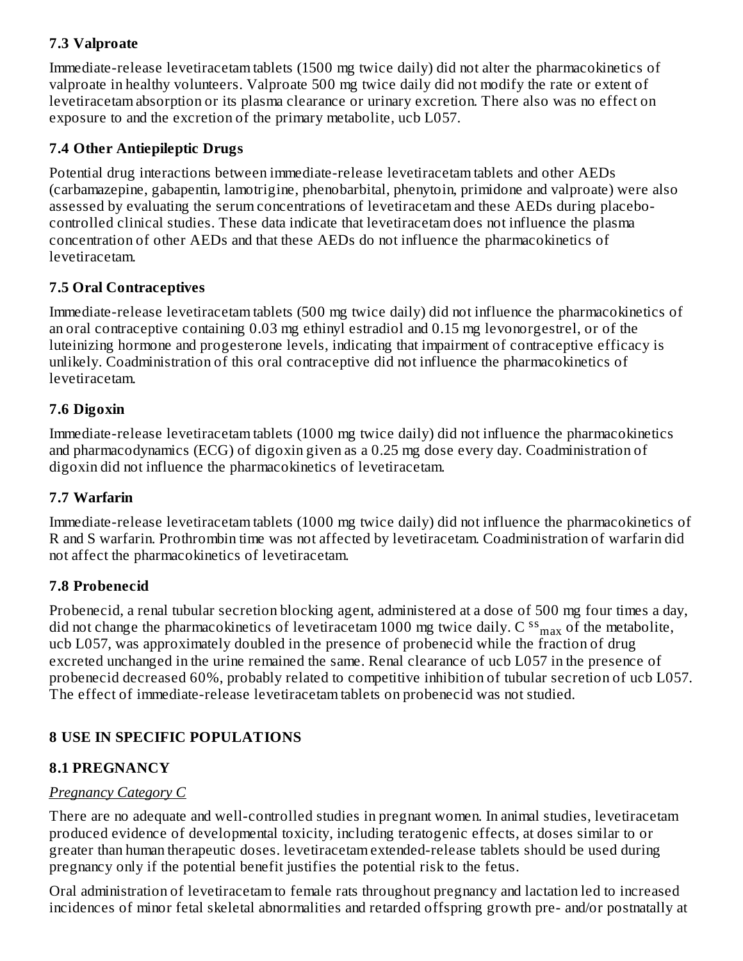# **7.3 Valproate**

Immediate-release levetiracetam tablets (1500 mg twice daily) did not alter the pharmacokinetics of valproate in healthy volunteers. Valproate 500 mg twice daily did not modify the rate or extent of levetiracetam absorption or its plasma clearance or urinary excretion. There also was no effect on exposure to and the excretion of the primary metabolite, ucb L057.

#### **7.4 Other Antiepileptic Drugs**

Potential drug interactions between immediate-release levetiracetam tablets and other AEDs (carbamazepine, gabapentin, lamotrigine, phenobarbital, phenytoin, primidone and valproate) were also assessed by evaluating the serum concentrations of levetiracetam and these AEDs during placebocontrolled clinical studies. These data indicate that levetiracetam does not influence the plasma concentration of other AEDs and that these AEDs do not influence the pharmacokinetics of levetiracetam.

### **7.5 Oral Contraceptives**

Immediate-release levetiracetam tablets (500 mg twice daily) did not influence the pharmacokinetics of an oral contraceptive containing 0.03 mg ethinyl estradiol and 0.15 mg levonorgestrel, or of the luteinizing hormone and progesterone levels, indicating that impairment of contraceptive efficacy is unlikely. Coadministration of this oral contraceptive did not influence the pharmacokinetics of levetiracetam.

### **7.6 Digoxin**

Immediate-release levetiracetam tablets (1000 mg twice daily) did not influence the pharmacokinetics and pharmacodynamics (ECG) of digoxin given as a 0.25 mg dose every day. Coadministration of digoxin did not influence the pharmacokinetics of levetiracetam.

#### **7.7 Warfarin**

Immediate-release levetiracetam tablets (1000 mg twice daily) did not influence the pharmacokinetics of R and S warfarin. Prothrombin time was not affected by levetiracetam. Coadministration of warfarin did not affect the pharmacokinetics of levetiracetam.

# **7.8 Probenecid**

Probenecid, a renal tubular secretion blocking agent, administered at a dose of 500 mg four times a day, did not change the pharmacokinetics of levetiracetam 1000 mg twice daily. C  $^{\rm ss}$   $_{\rm max}$  of the metabolite, ucb L057, was approximately doubled in the presence of probenecid while the fraction of drug excreted unchanged in the urine remained the same. Renal clearance of ucb L057 in the presence of probenecid decreased 60%, probably related to competitive inhibition of tubular secretion of ucb L057. The effect of immediate-release levetiracetam tablets on probenecid was not studied.

# **8 USE IN SPECIFIC POPULATIONS**

# **8.1 PREGNANCY**

# *Pregnancy Category C*

There are no adequate and well-controlled studies in pregnant women. In animal studies, levetiracetam produced evidence of developmental toxicity, including teratogenic effects, at doses similar to or greater than human therapeutic doses. levetiracetam extended-release tablets should be used during pregnancy only if the potential benefit justifies the potential risk to the fetus.

Oral administration of levetiracetam to female rats throughout pregnancy and lactation led to increased incidences of minor fetal skeletal abnormalities and retarded offspring growth pre- and/or postnatally at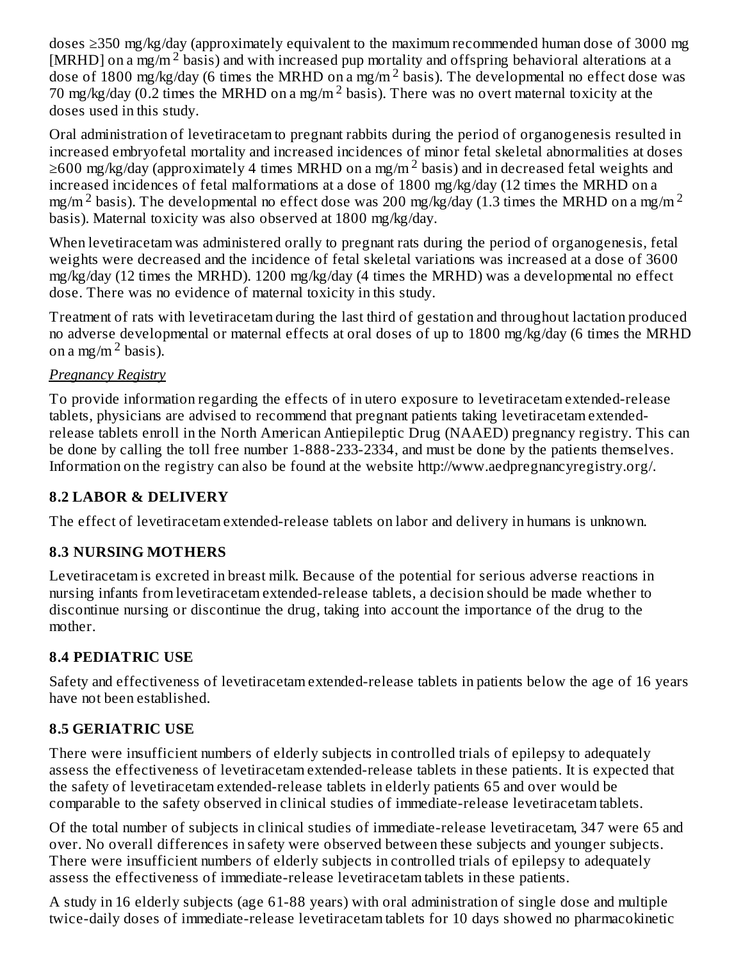doses ≥350 mg/kg/day (approximately equivalent to the maximum recommended human dose of 3000 mg [MRHD] on a mg/m<sup>2</sup> basis) and with increased pup mortality and offspring behavioral alterations at a dose of 1800 mg/kg/day (6 times the MRHD on a mg/m<sup>2</sup> basis). The developmental no effect dose was 70 mg/kg/day (0.2 times the MRHD on a mg/m<sup>2</sup> basis). There was no overt maternal toxicity at the doses used in this study.

Oral administration of levetiracetam to pregnant rabbits during the period of organogenesis resulted in increased embryofetal mortality and increased incidences of minor fetal skeletal abnormalities at doses  $\geq$ 600 mg/kg/day (approximately 4 times MRHD on a mg/m  $^2$  basis) and in decreased fetal weights and increased incidences of fetal malformations at a dose of 1800 mg/kg/day (12 times the MRHD on a mg/m  $^2$  basis). The developmental no effect dose was 200 mg/kg/day (1.3 times the MRHD on a mg/m  $^2$ basis). Maternal toxicity was also observed at 1800 mg/kg/day.

When levetiracetam was administered orally to pregnant rats during the period of organogenesis, fetal weights were decreased and the incidence of fetal skeletal variations was increased at a dose of 3600 mg/kg/day (12 times the MRHD). 1200 mg/kg/day (4 times the MRHD) was a developmental no effect dose. There was no evidence of maternal toxicity in this study.

Treatment of rats with levetiracetam during the last third of gestation and throughout lactation produced no adverse developmental or maternal effects at oral doses of up to 1800 mg/kg/day (6 times the MRHD on a mg/m  $^2$  basis).

### *Pregnancy Registry*

To provide information regarding the effects of in utero exposure to levetiracetam extended-release tablets, physicians are advised to recommend that pregnant patients taking levetiracetam extendedrelease tablets enroll in the North American Antiepileptic Drug (NAAED) pregnancy registry. This can be done by calling the toll free number 1-888-233-2334, and must be done by the patients themselves. Information on the registry can also be found at the website http://www.aedpregnancyregistry.org/.

# **8.2 LABOR & DELIVERY**

The effect of levetiracetam extended-release tablets on labor and delivery in humans is unknown.

# **8.3 NURSING MOTHERS**

Levetiracetam is excreted in breast milk. Because of the potential for serious adverse reactions in nursing infants from levetiracetam extended-release tablets, a decision should be made whether to discontinue nursing or discontinue the drug, taking into account the importance of the drug to the mother.

# **8.4 PEDIATRIC USE**

Safety and effectiveness of levetiracetam extended-release tablets in patients below the age of 16 years have not been established.

# **8.5 GERIATRIC USE**

There were insufficient numbers of elderly subjects in controlled trials of epilepsy to adequately assess the effectiveness of levetiracetam extended-release tablets in these patients. It is expected that the safety of levetiracetam extended-release tablets in elderly patients 65 and over would be comparable to the safety observed in clinical studies of immediate-release levetiracetam tablets.

Of the total number of subjects in clinical studies of immediate-release levetiracetam, 347 were 65 and over. No overall differences in safety were observed between these subjects and younger subjects. There were insufficient numbers of elderly subjects in controlled trials of epilepsy to adequately assess the effectiveness of immediate-release levetiracetam tablets in these patients.

A study in 16 elderly subjects (age 61-88 years) with oral administration of single dose and multiple twice-daily doses of immediate-release levetiracetam tablets for 10 days showed no pharmacokinetic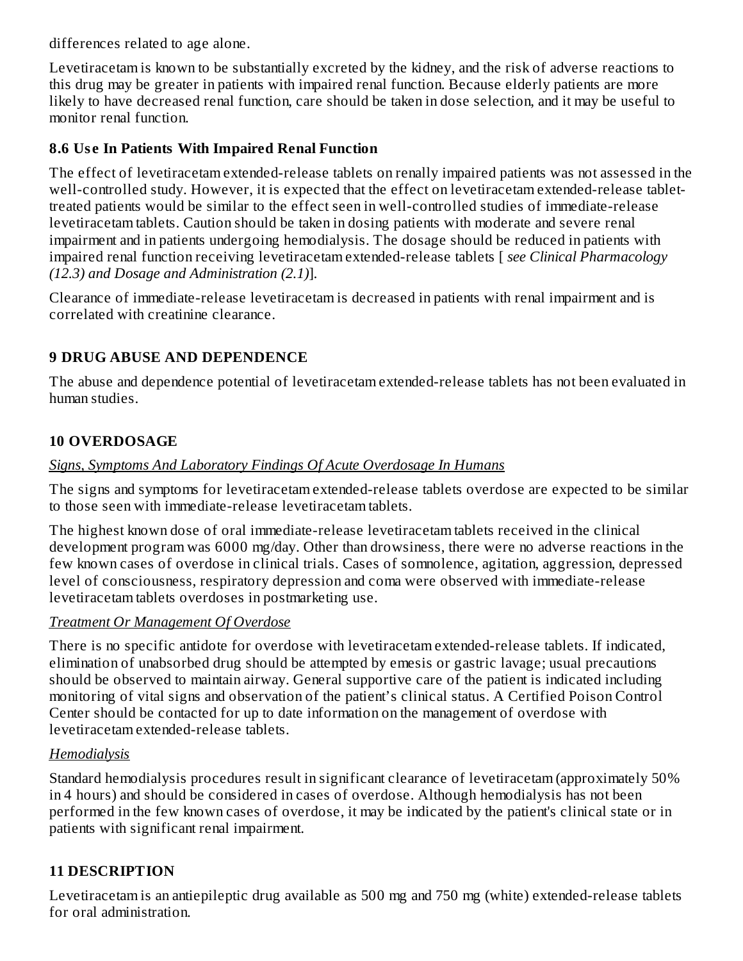differences related to age alone.

Levetiracetam is known to be substantially excreted by the kidney, and the risk of adverse reactions to this drug may be greater in patients with impaired renal function. Because elderly patients are more likely to have decreased renal function, care should be taken in dose selection, and it may be useful to monitor renal function.

### **8.6 Us e In Patients With Impaired Renal Function**

The effect of levetiracetam extended-release tablets on renally impaired patients was not assessed in the well-controlled study. However, it is expected that the effect on levetiracetam extended-release tablettreated patients would be similar to the effect seen in well-controlled studies of immediate-release levetiracetam tablets. Caution should be taken in dosing patients with moderate and severe renal impairment and in patients undergoing hemodialysis. The dosage should be reduced in patients with impaired renal function receiving levetiracetam extended-release tablets [ *see Clinical Pharmacology (12.3) and Dosage and Administration (2.1)*].

Clearance of immediate-release levetiracetam is decreased in patients with renal impairment and is correlated with creatinine clearance.

# **9 DRUG ABUSE AND DEPENDENCE**

The abuse and dependence potential of levetiracetam extended-release tablets has not been evaluated in human studies.

### **10 OVERDOSAGE**

#### *Signs, Symptoms And Laboratory Findings Of Acute Overdosage In Humans*

The signs and symptoms for levetiracetam extended-release tablets overdose are expected to be similar to those seen with immediate-release levetiracetam tablets.

The highest known dose of oral immediate-release levetiracetam tablets received in the clinical development program was 6000 mg/day. Other than drowsiness, there were no adverse reactions in the few known cases of overdose in clinical trials. Cases of somnolence, agitation, aggression, depressed level of consciousness, respiratory depression and coma were observed with immediate-release levetiracetam tablets overdoses in postmarketing use.

#### *Treatment Or Management Of Overdose*

There is no specific antidote for overdose with levetiracetam extended-release tablets. If indicated, elimination of unabsorbed drug should be attempted by emesis or gastric lavage; usual precautions should be observed to maintain airway. General supportive care of the patient is indicated including monitoring of vital signs and observation of the patient's clinical status. A Certified Poison Control Center should be contacted for up to date information on the management of overdose with levetiracetam extended-release tablets.

#### *Hemodialysis*

Standard hemodialysis procedures result in significant clearance of levetiracetam (approximately 50% in 4 hours) and should be considered in cases of overdose. Although hemodialysis has not been performed in the few known cases of overdose, it may be indicated by the patient's clinical state or in patients with significant renal impairment.

# **11 DESCRIPTION**

Levetiracetam is an antiepileptic drug available as 500 mg and 750 mg (white) extended-release tablets for oral administration.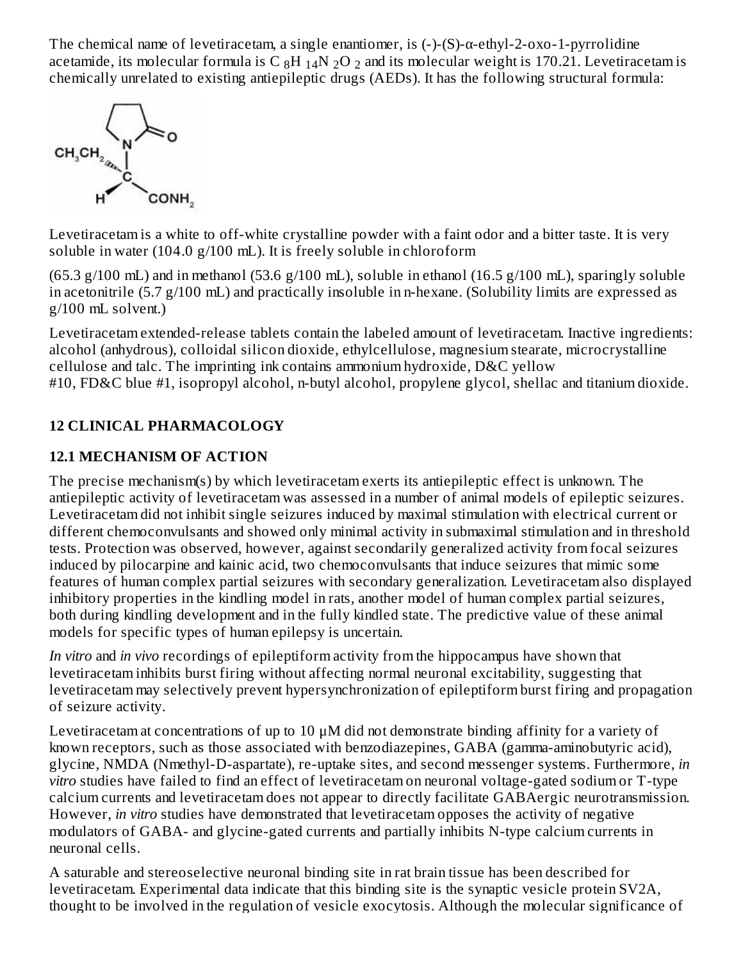The chemical name of levetiracetam, a single enantiomer, is (-)-(S)-α-ethyl-2-oxo-1-pyrrolidine acetamide, its molecular formula is C  $_8\rm{H}$   $_{14}\rm{N}$   $_2\rm{O}$   $_2$  and its molecular weight is 170.21. Levetiracetam is chemically unrelated to existing antiepileptic drugs (AEDs). It has the following structural formula:



Levetiracetam is a white to off-white crystalline powder with a faint odor and a bitter taste. It is very soluble in water (104.0 g/100 mL). It is freely soluble in chloroform

(65.3 g/100 mL) and in methanol (53.6 g/100 mL), soluble in ethanol (16.5 g/100 mL), sparingly soluble in acetonitrile (5.7 g/100 mL) and practically insoluble in n-hexane. (Solubility limits are expressed as g/100 mL solvent.)

Levetiracetam extended-release tablets contain the labeled amount of levetiracetam. Inactive ingredients: alcohol (anhydrous), colloidal silicon dioxide, ethylcellulose, magnesium stearate, microcrystalline cellulose and talc. The imprinting ink contains ammonium hydroxide, D&C yellow #10, FD&C blue #1, isopropyl alcohol, n-butyl alcohol, propylene glycol, shellac and titanium dioxide.

# **12 CLINICAL PHARMACOLOGY**

# **12.1 MECHANISM OF ACTION**

The precise mechanism(s) by which levetiracetam exerts its antiepileptic effect is unknown. The antiepileptic activity of levetiracetam was assessed in a number of animal models of epileptic seizures. Levetiracetam did not inhibit single seizures induced by maximal stimulation with electrical current or different chemoconvulsants and showed only minimal activity in submaximal stimulation and in threshold tests. Protection was observed, however, against secondarily generalized activity from focal seizures induced by pilocarpine and kainic acid, two chemoconvulsants that induce seizures that mimic some features of human complex partial seizures with secondary generalization. Levetiracetam also displayed inhibitory properties in the kindling model in rats, another model of human complex partial seizures, both during kindling development and in the fully kindled state. The predictive value of these animal models for specific types of human epilepsy is uncertain.

*In vitro* and *in vivo* recordings of epileptiform activity from the hippocampus have shown that levetiracetam inhibits burst firing without affecting normal neuronal excitability, suggesting that levetiracetam may selectively prevent hypersynchronization of epileptiform burst firing and propagation of seizure activity.

Levetiracetam at concentrations of up to 10  $\mu$ M did not demonstrate binding affinity for a variety of known receptors, such as those associated with benzodiazepines, GABA (gamma-aminobutyric acid), glycine, NMDA (Nmethyl-D-aspartate), re-uptake sites, and second messenger systems. Furthermore, *in vitro* studies have failed to find an effect of levetiracetam on neuronal voltage-gated sodium or T-type calcium currents and levetiracetam does not appear to directly facilitate GABAergic neurotransmission. However, *in vitro* studies have demonstrated that levetiracetam opposes the activity of negative modulators of GABA- and glycine-gated currents and partially inhibits N-type calcium currents in neuronal cells.

A saturable and stereoselective neuronal binding site in rat brain tissue has been described for levetiracetam. Experimental data indicate that this binding site is the synaptic vesicle protein SV2A, thought to be involved in the regulation of vesicle exocytosis. Although the molecular significance of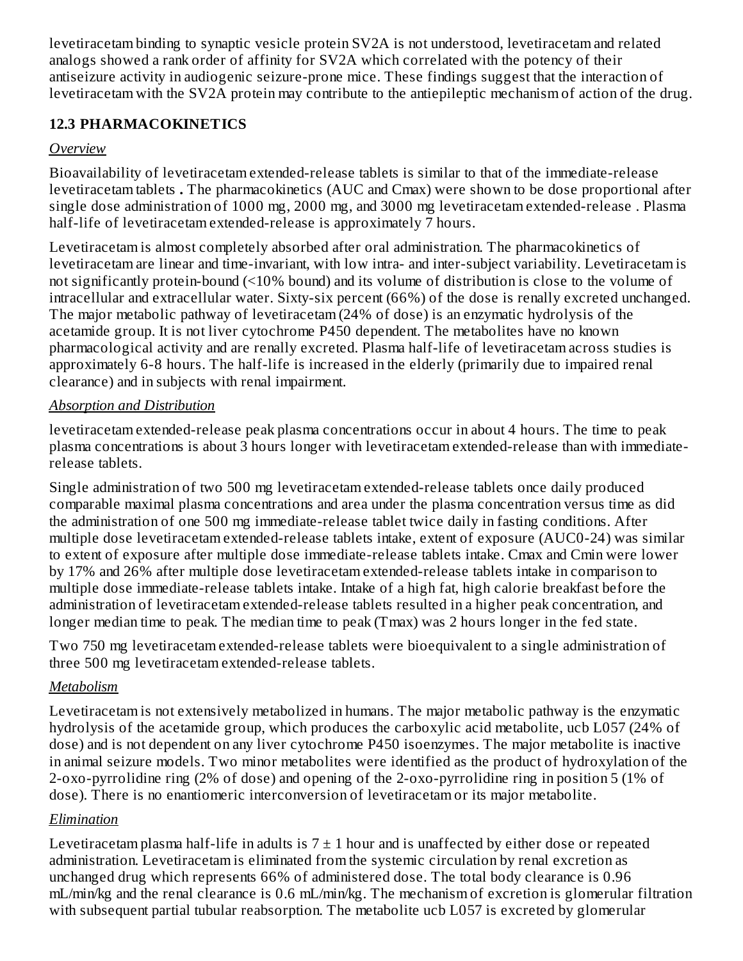levetiracetam binding to synaptic vesicle protein SV2A is not understood, levetiracetam and related analogs showed a rank order of affinity for SV2A which correlated with the potency of their antiseizure activity in audiogenic seizure-prone mice. These findings suggest that the interaction of levetiracetam with the SV2A protein may contribute to the antiepileptic mechanism of action of the drug.

# **12.3 PHARMACOKINETICS**

# *Overview*

Bioavailability of levetiracetam extended-release tablets is similar to that of the immediate-release levetiracetam tablets **.** The pharmacokinetics (AUC and Cmax) were shown to be dose proportional after single dose administration of 1000 mg, 2000 mg, and 3000 mg levetiracetam extended-release . Plasma half-life of levetiracetam extended-release is approximately 7 hours.

Levetiracetam is almost completely absorbed after oral administration. The pharmacokinetics of levetiracetam are linear and time-invariant, with low intra- and inter-subject variability. Levetiracetam is not significantly protein-bound (<10% bound) and its volume of distribution is close to the volume of intracellular and extracellular water. Sixty-six percent (66%) of the dose is renally excreted unchanged. The major metabolic pathway of levetiracetam (24% of dose) is an enzymatic hydrolysis of the acetamide group. It is not liver cytochrome P450 dependent. The metabolites have no known pharmacological activity and are renally excreted. Plasma half-life of levetiracetam across studies is approximately 6-8 hours. The half-life is increased in the elderly (primarily due to impaired renal clearance) and in subjects with renal impairment.

### *Absorption and Distribution*

levetiracetam extended-release peak plasma concentrations occur in about 4 hours. The time to peak plasma concentrations is about 3 hours longer with levetiracetam extended-release than with immediaterelease tablets.

Single administration of two 500 mg levetiracetam extended-release tablets once daily produced comparable maximal plasma concentrations and area under the plasma concentration versus time as did the administration of one 500 mg immediate-release tablet twice daily in fasting conditions. After multiple dose levetiracetam extended-release tablets intake, extent of exposure (AUC0-24) was similar to extent of exposure after multiple dose immediate-release tablets intake. Cmax and Cmin were lower by 17% and 26% after multiple dose levetiracetam extended-release tablets intake in comparison to multiple dose immediate-release tablets intake. Intake of a high fat, high calorie breakfast before the administration of levetiracetam extended-release tablets resulted in a higher peak concentration, and longer median time to peak. The median time to peak (Tmax) was 2 hours longer in the fed state.

Two 750 mg levetiracetam extended-release tablets were bioequivalent to a single administration of three 500 mg levetiracetam extended-release tablets.

# *Metabolism*

Levetiracetam is not extensively metabolized in humans. The major metabolic pathway is the enzymatic hydrolysis of the acetamide group, which produces the carboxylic acid metabolite, ucb L057 (24% of dose) and is not dependent on any liver cytochrome P450 isoenzymes. The major metabolite is inactive in animal seizure models. Two minor metabolites were identified as the product of hydroxylation of the 2-oxo-pyrrolidine ring (2% of dose) and opening of the 2-oxo-pyrrolidine ring in position 5 (1% of dose). There is no enantiomeric interconversion of levetiracetam or its major metabolite.

# *Elimination*

Levetiracetam plasma half-life in adults is  $7 \pm 1$  hour and is unaffected by either dose or repeated administration. Levetiracetam is eliminated from the systemic circulation by renal excretion as unchanged drug which represents 66% of administered dose. The total body clearance is 0.96 mL/min/kg and the renal clearance is 0.6 mL/min/kg. The mechanism of excretion is glomerular filtration with subsequent partial tubular reabsorption. The metabolite ucb L057 is excreted by glomerular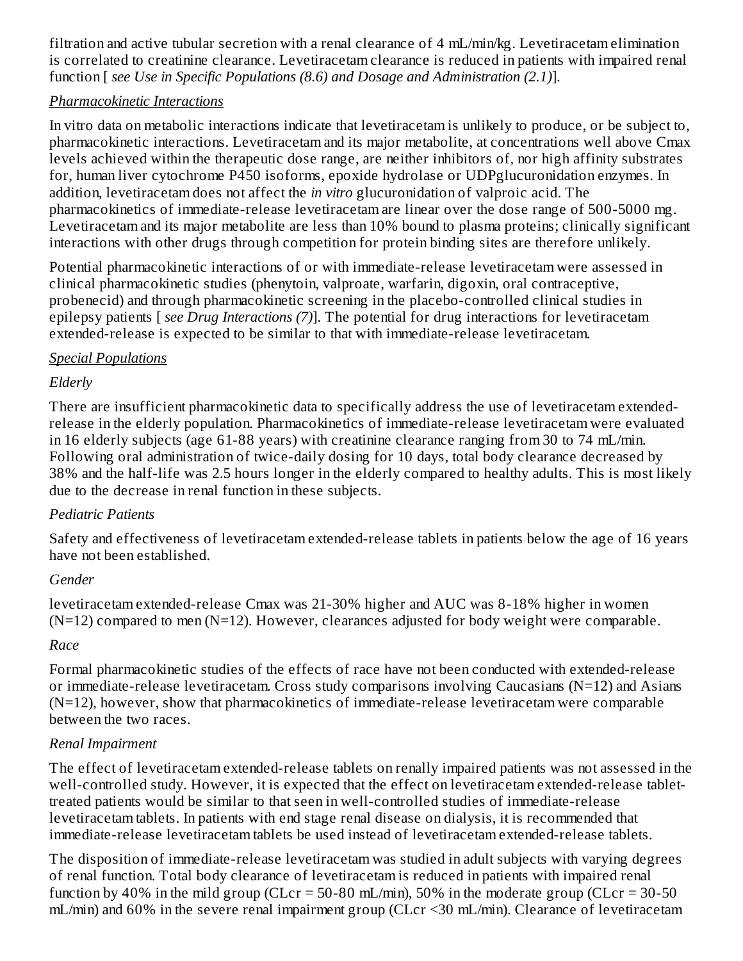filtration and active tubular secretion with a renal clearance of 4 mL/min/kg. Levetiracetam elimination is correlated to creatinine clearance. Levetiracetam clearance is reduced in patients with impaired renal function [ *see Use in Specific Populations (8.6) and Dosage and Administration (2.1)*].

# *Pharmacokinetic Interactions*

In vitro data on metabolic interactions indicate that levetiracetam is unlikely to produce, or be subject to, pharmacokinetic interactions. Levetiracetam and its major metabolite, at concentrations well above Cmax levels achieved within the therapeutic dose range, are neither inhibitors of, nor high affinity substrates for, human liver cytochrome P450 isoforms, epoxide hydrolase or UDPglucuronidation enzymes. In addition, levetiracetam does not affect the *in vitro* glucuronidation of valproic acid. The pharmacokinetics of immediate-release levetiracetam are linear over the dose range of 500-5000 mg. Levetiracetam and its major metabolite are less than 10% bound to plasma proteins; clinically significant interactions with other drugs through competition for protein binding sites are therefore unlikely.

Potential pharmacokinetic interactions of or with immediate-release levetiracetam were assessed in clinical pharmacokinetic studies (phenytoin, valproate, warfarin, digoxin, oral contraceptive, probenecid) and through pharmacokinetic screening in the placebo-controlled clinical studies in epilepsy patients [ *see Drug Interactions (7)*]. The potential for drug interactions for levetiracetam extended-release is expected to be similar to that with immediate-release levetiracetam.

### *Special Populations*

# *Elderly*

There are insufficient pharmacokinetic data to specifically address the use of levetiracetam extendedrelease in the elderly population. Pharmacokinetics of immediate-release levetiracetam were evaluated in 16 elderly subjects (age 61-88 years) with creatinine clearance ranging from 30 to 74 mL/min. Following oral administration of twice-daily dosing for 10 days, total body clearance decreased by 38% and the half-life was 2.5 hours longer in the elderly compared to healthy adults. This is most likely due to the decrease in renal function in these subjects.

# *Pediatric Patients*

Safety and effectiveness of levetiracetam extended-release tablets in patients below the age of 16 years have not been established.

# *Gender*

levetiracetam extended-release Cmax was 21-30% higher and AUC was 8-18% higher in women  $(N=12)$  compared to men  $(N=12)$ . However, clearances adjusted for body weight were comparable.

# *Race*

Formal pharmacokinetic studies of the effects of race have not been conducted with extended-release or immediate-release levetiracetam. Cross study comparisons involving Caucasians (N=12) and Asians (N=12), however, show that pharmacokinetics of immediate-release levetiracetam were comparable between the two races.

# *Renal Impairment*

The effect of levetiracetam extended-release tablets on renally impaired patients was not assessed in the well-controlled study. However, it is expected that the effect on levetiracetam extended-release tablettreated patients would be similar to that seen in well-controlled studies of immediate-release levetiracetam tablets. In patients with end stage renal disease on dialysis, it is recommended that immediate-release levetiracetam tablets be used instead of levetiracetam extended-release tablets.

The disposition of immediate-release levetiracetam was studied in adult subjects with varying degrees of renal function. Total body clearance of levetiracetam is reduced in patients with impaired renal function by 40% in the mild group (CLcr = 50-80 mL/min), 50% in the moderate group (CLcr = 30-50 mL/min) and 60% in the severe renal impairment group (CLcr <30 mL/min). Clearance of levetiracetam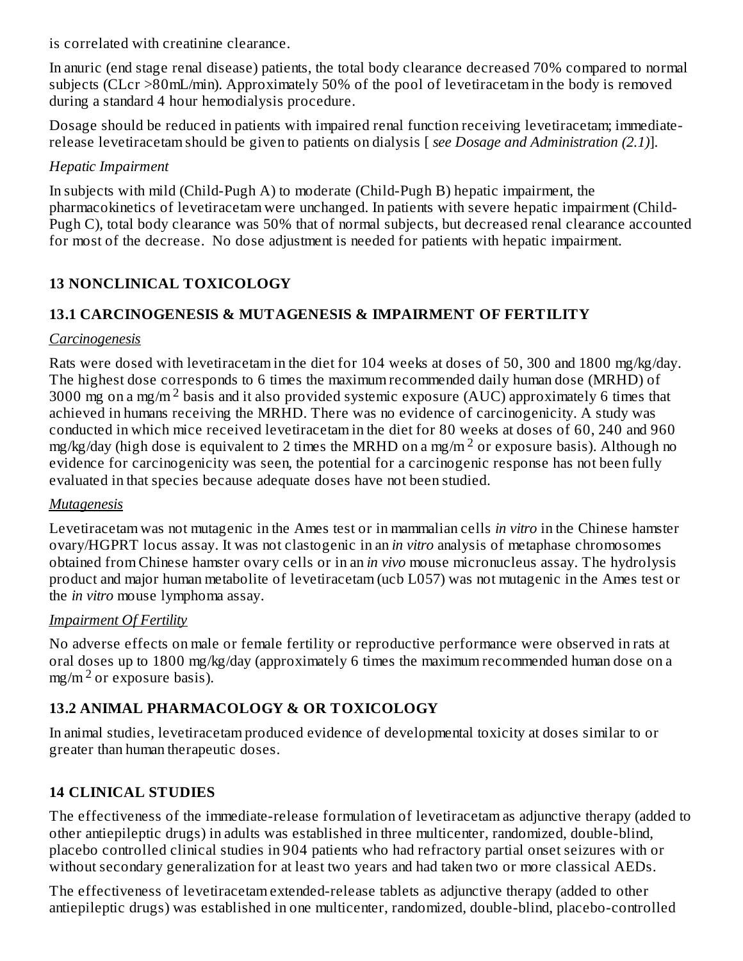is correlated with creatinine clearance.

In anuric (end stage renal disease) patients, the total body clearance decreased 70% compared to normal subjects (CLcr >80mL/min). Approximately 50% of the pool of levetiracetam in the body is removed during a standard 4 hour hemodialysis procedure.

Dosage should be reduced in patients with impaired renal function receiving levetiracetam; immediaterelease levetiracetam should be given to patients on dialysis [ *see Dosage and Administration (2.1)*].

#### *Hepatic Impairment*

In subjects with mild (Child-Pugh A) to moderate (Child-Pugh B) hepatic impairment, the pharmacokinetics of levetiracetam were unchanged. In patients with severe hepatic impairment (Child-Pugh C), total body clearance was 50% that of normal subjects, but decreased renal clearance accounted for most of the decrease. No dose adjustment is needed for patients with hepatic impairment.

# **13 NONCLINICAL TOXICOLOGY**

# **13.1 CARCINOGENESIS & MUTAGENESIS & IMPAIRMENT OF FERTILITY**

#### *Carcinogenesis*

Rats were dosed with levetiracetam in the diet for 104 weeks at doses of 50, 300 and 1800 mg/kg/day. The highest dose corresponds to 6 times the maximum recommended daily human dose (MRHD) of 3000 mg on a mg/m<sup>2</sup> basis and it also provided systemic exposure (AUC) approximately 6 times that achieved in humans receiving the MRHD. There was no evidence of carcinogenicity. A study was conducted in which mice received levetiracetam in the diet for 80 weeks at doses of 60, 240 and 960 mg/kg/day (high dose is equivalent to 2 times the MRHD on a mg/m  $^2$  or exposure basis). Although no evidence for carcinogenicity was seen, the potential for a carcinogenic response has not been fully evaluated in that species because adequate doses have not been studied.

#### *Mutagenesis*

Levetiracetam was not mutagenic in the Ames test or in mammalian cells *in vitro* in the Chinese hamster ovary/HGPRT locus assay. It was not clastogenic in an *in vitro* analysis of metaphase chromosomes obtained from Chinese hamster ovary cells or in an *in vivo* mouse micronucleus assay. The hydrolysis product and major human metabolite of levetiracetam (ucb L057) was not mutagenic in the Ames test or the *in vitro* mouse lymphoma assay.

#### *Impairment Of Fertility*

No adverse effects on male or female fertility or reproductive performance were observed in rats at oral doses up to 1800 mg/kg/day (approximately 6 times the maximum recommended human dose on a  $mg/m<sup>2</sup>$  or exposure basis).

# **13.2 ANIMAL PHARMACOLOGY & OR TOXICOLOGY**

In animal studies, levetiracetam produced evidence of developmental toxicity at doses similar to or greater than human therapeutic doses.

# **14 CLINICAL STUDIES**

The effectiveness of the immediate-release formulation of levetiracetam as adjunctive therapy (added to other antiepileptic drugs) in adults was established in three multicenter, randomized, double-blind, placebo controlled clinical studies in 904 patients who had refractory partial onset seizures with or without secondary generalization for at least two years and had taken two or more classical AEDs.

The effectiveness of levetiracetam extended-release tablets as adjunctive therapy (added to other antiepileptic drugs) was established in one multicenter, randomized, double-blind, placebo-controlled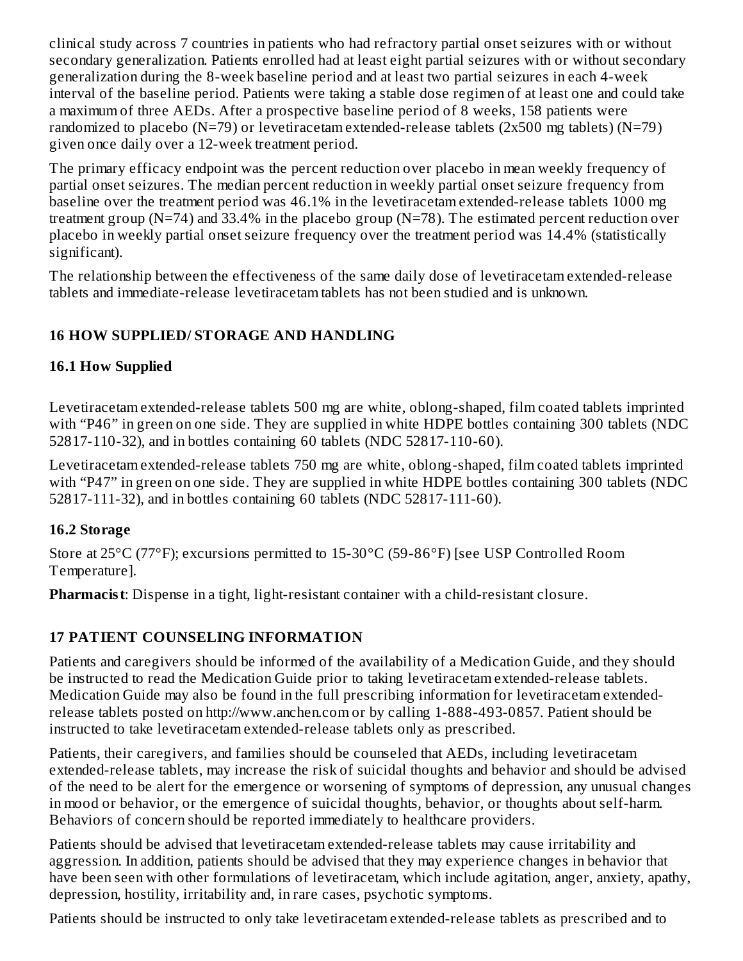clinical study across 7 countries in patients who had refractory partial onset seizures with or without secondary generalization. Patients enrolled had at least eight partial seizures with or without secondary generalization during the 8-week baseline period and at least two partial seizures in each 4-week interval of the baseline period. Patients were taking a stable dose regimen of at least one and could take a maximum of three AEDs. After a prospective baseline period of 8 weeks, 158 patients were randomized to placebo (N=79) or levetiracetam extended-release tablets (2x500 mg tablets) (N=79) given once daily over a 12-week treatment period.

The primary efficacy endpoint was the percent reduction over placebo in mean weekly frequency of partial onset seizures. The median percent reduction in weekly partial onset seizure frequency from baseline over the treatment period was 46.1% in the levetiracetam extended-release tablets 1000 mg treatment group (N=74) and 33.4% in the placebo group (N=78). The estimated percent reduction over placebo in weekly partial onset seizure frequency over the treatment period was 14.4% (statistically significant).

The relationship between the effectiveness of the same daily dose of levetiracetam extended-release tablets and immediate-release levetiracetam tablets has not been studied and is unknown.

### **16 HOW SUPPLIED/ STORAGE AND HANDLING**

#### **16.1 How Supplied**

Levetiracetam extended-release tablets 500 mg are white, oblong-shaped, film coated tablets imprinted with "P46" in green on one side. They are supplied in white HDPE bottles containing 300 tablets (NDC 52817-110-32), and in bottles containing 60 tablets (NDC 52817-110-60).

Levetiracetam extended-release tablets 750 mg are white, oblong-shaped, film coated tablets imprinted with "P47" in green on one side. They are supplied in white HDPE bottles containing 300 tablets (NDC 52817-111-32), and in bottles containing 60 tablets (NDC 52817-111-60).

#### **16.2 Storage**

Store at 25°C (77°F); excursions permitted to 15-30°C (59-86°F) [see USP Controlled Room Temperature].

**Pharmacist**: Dispense in a tight, light-resistant container with a child-resistant closure.

# **17 PATIENT COUNSELING INFORMATION**

Patients and caregivers should be informed of the availability of a Medication Guide, and they should be instructed to read the Medication Guide prior to taking levetiracetam extended-release tablets. Medication Guide may also be found in the full prescribing information for levetiracetam extendedrelease tablets posted on http://www.anchen.com or by calling 1-888-493-0857. Patient should be instructed to take levetiracetam extended-release tablets only as prescribed.

Patients, their caregivers, and families should be counseled that AEDs, including levetiracetam extended-release tablets, may increase the risk of suicidal thoughts and behavior and should be advised of the need to be alert for the emergence or worsening of symptoms of depression, any unusual changes in mood or behavior, or the emergence of suicidal thoughts, behavior, or thoughts about self-harm. Behaviors of concern should be reported immediately to healthcare providers.

Patients should be advised that levetiracetam extended-release tablets may cause irritability and aggression. In addition, patients should be advised that they may experience changes in behavior that have been seen with other formulations of levetiracetam, which include agitation, anger, anxiety, apathy, depression, hostility, irritability and, in rare cases, psychotic symptoms.

Patients should be instructed to only take levetiracetam extended-release tablets as prescribed and to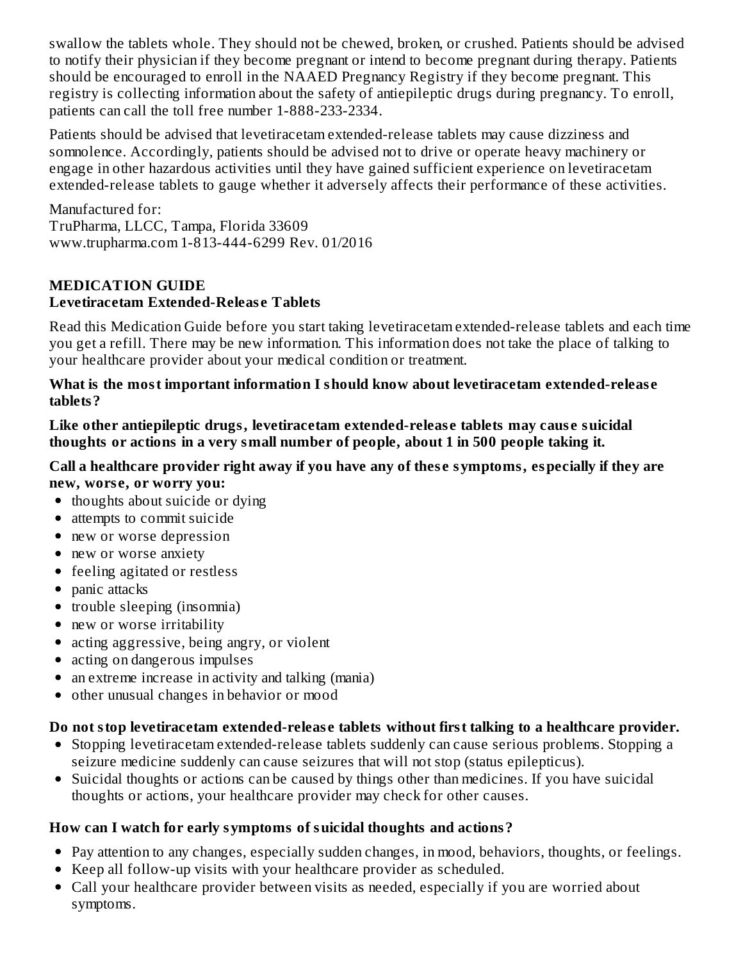swallow the tablets whole. They should not be chewed, broken, or crushed. Patients should be advised to notify their physician if they become pregnant or intend to become pregnant during therapy. Patients should be encouraged to enroll in the NAAED Pregnancy Registry if they become pregnant. This registry is collecting information about the safety of antiepileptic drugs during pregnancy. To enroll, patients can call the toll free number 1-888-233-2334.

Patients should be advised that levetiracetam extended-release tablets may cause dizziness and somnolence. Accordingly, patients should be advised not to drive or operate heavy machinery or engage in other hazardous activities until they have gained sufficient experience on levetiracetam extended-release tablets to gauge whether it adversely affects their performance of these activities.

Manufactured for: TruPharma, LLCC, Tampa, Florida 33609 www.trupharma.com 1-813-444-6299 Rev. 01/2016

# **MEDICATION GUIDE Levetiracetam Extended-Releas e Tablets**

Read this Medication Guide before you start taking levetiracetam extended-release tablets and each time you get a refill. There may be new information. This information does not take the place of talking to your healthcare provider about your medical condition or treatment.

**What is the most important information I should know about levetiracetam extended-releas e tablets?**

**Like other antiepileptic drugs, levetiracetam extended-releas e tablets may caus e suicidal thoughts or actions in a very small number of people, about 1 in 500 people taking it.**

#### **Call a healthcare provider right away if you have any of thes e symptoms, especially if they are new, wors e, or worry you:**

- thoughts about suicide or dying
- attempts to commit suicide
- new or worse depression
- new or worse anxiety
- feeling agitated or restless
- panic attacks
- trouble sleeping (insomnia)
- new or worse irritability
- acting aggressive, being angry, or violent
- acting on dangerous impulses
- an extreme increase in activity and talking (mania)
- other unusual changes in behavior or mood  $\bullet$

# **Do not stop levetiracetam extended-releas e tablets without first talking to a healthcare provider.**

- Stopping levetiracetam extended-release tablets suddenly can cause serious problems. Stopping a seizure medicine suddenly can cause seizures that will not stop (status epilepticus).
- Suicidal thoughts or actions can be caused by things other than medicines. If you have suicidal thoughts or actions, your healthcare provider may check for other causes.

# **How can I watch for early symptoms of suicidal thoughts and actions?**

- Pay attention to any changes, especially sudden changes, in mood, behaviors, thoughts, or feelings.
- Keep all follow-up visits with your healthcare provider as scheduled.
- Call your healthcare provider between visits as needed, especially if you are worried about symptoms.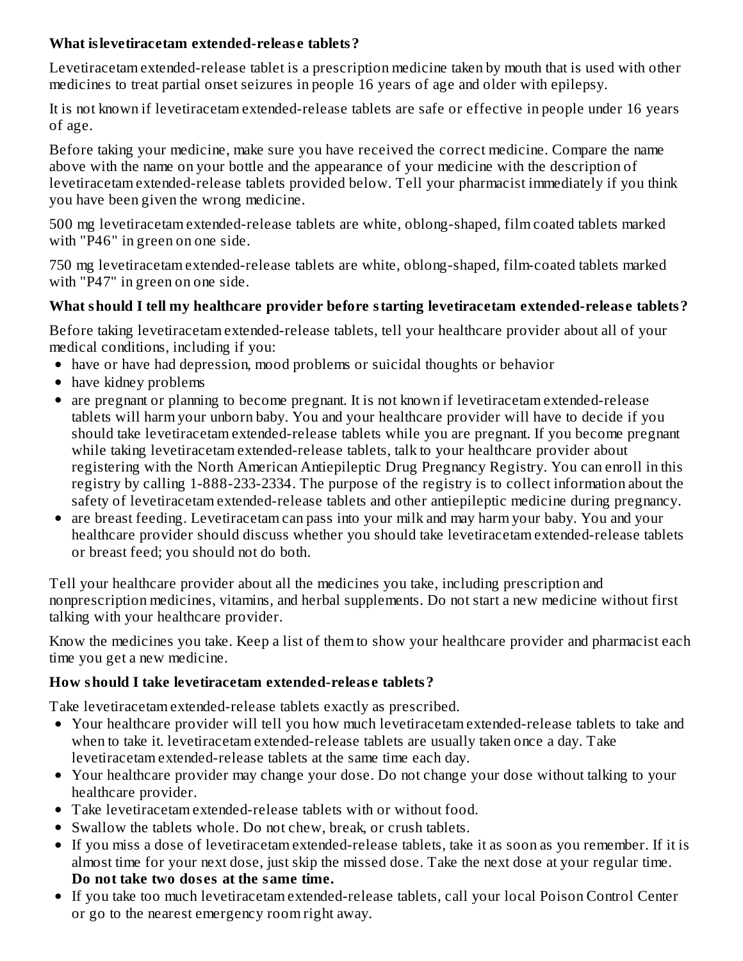#### **What islevetiracetam extended-releas e tablets?**

Levetiracetam extended-release tablet is a prescription medicine taken by mouth that is used with other medicines to treat partial onset seizures in people 16 years of age and older with epilepsy.

It is not known if levetiracetam extended-release tablets are safe or effective in people under 16 years of age.

Before taking your medicine, make sure you have received the correct medicine. Compare the name above with the name on your bottle and the appearance of your medicine with the description of levetiracetam extended-release tablets provided below. Tell your pharmacist immediately if you think you have been given the wrong medicine.

500 mg levetiracetam extended-release tablets are white, oblong-shaped, film coated tablets marked with "P46" in green on one side.

750 mg levetiracetam extended-release tablets are white, oblong-shaped, film-coated tablets marked with "P47" in green on one side.

# **What should I tell my healthcare provider before starting levetiracetam extended-releas e tablets?**

Before taking levetiracetam extended-release tablets, tell your healthcare provider about all of your medical conditions, including if you:

- have or have had depression, mood problems or suicidal thoughts or behavior
- have kidney problems
- are pregnant or planning to become pregnant. It is not known if levetiracetam extended-release tablets will harm your unborn baby. You and your healthcare provider will have to decide if you should take levetiracetam extended-release tablets while you are pregnant. If you become pregnant while taking levetiracetam extended-release tablets, talk to your healthcare provider about registering with the North American Antiepileptic Drug Pregnancy Registry. You can enroll in this registry by calling 1-888-233-2334. The purpose of the registry is to collect information about the safety of levetiracetam extended-release tablets and other antiepileptic medicine during pregnancy.
- are breast feeding. Levetiracetam can pass into your milk and may harm your baby. You and your healthcare provider should discuss whether you should take levetiracetam extended-release tablets or breast feed; you should not do both.

Tell your healthcare provider about all the medicines you take, including prescription and nonprescription medicines, vitamins, and herbal supplements. Do not start a new medicine without first talking with your healthcare provider.

Know the medicines you take. Keep a list of them to show your healthcare provider and pharmacist each time you get a new medicine.

# **How should I take levetiracetam extended-releas e tablets?**

Take levetiracetam extended-release tablets exactly as prescribed.

- Your healthcare provider will tell you how much levetiracetam extended-release tablets to take and when to take it. levetiracetam extended-release tablets are usually taken once a day. Take levetiracetam extended-release tablets at the same time each day.
- Your healthcare provider may change your dose. Do not change your dose without talking to your healthcare provider.
- Take levetiracetam extended-release tablets with or without food.
- Swallow the tablets whole. Do not chew, break, or crush tablets.
- If you miss a dose of levetiracetam extended-release tablets, take it as soon as you remember. If it is almost time for your next dose, just skip the missed dose. Take the next dose at your regular time. **Do not take two dos es at the same time.**
- If you take too much levetiracetam extended-release tablets, call your local Poison Control Center or go to the nearest emergency room right away.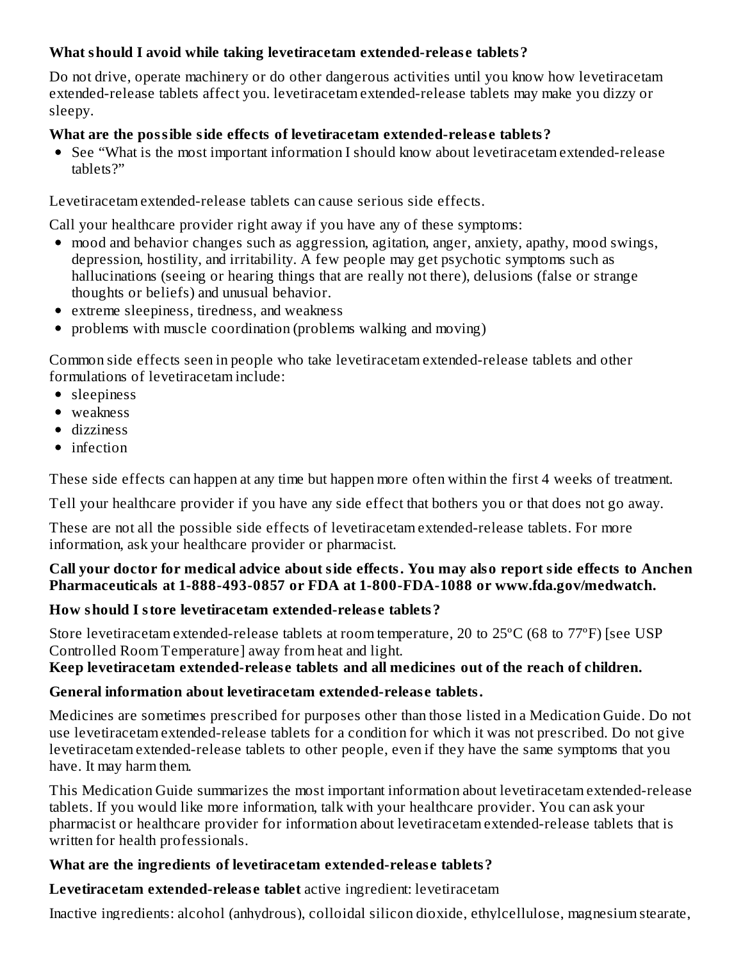# **What should I avoid while taking levetiracetam extended-releas e tablets?**

Do not drive, operate machinery or do other dangerous activities until you know how levetiracetam extended-release tablets affect you. levetiracetam extended-release tablets may make you dizzy or sleepy.

#### **What are the possible side effects of levetiracetam extended-releas e tablets?**

See "What is the most important information I should know about levetiracetam extended-release tablets?"

Levetiracetam extended-release tablets can cause serious side effects.

Call your healthcare provider right away if you have any of these symptoms:

- mood and behavior changes such as aggression, agitation, anger, anxiety, apathy, mood swings, depression, hostility, and irritability. A few people may get psychotic symptoms such as hallucinations (seeing or hearing things that are really not there), delusions (false or strange thoughts or beliefs) and unusual behavior.
- extreme sleepiness, tiredness, and weakness
- problems with muscle coordination (problems walking and moving)

Common side effects seen in people who take levetiracetam extended-release tablets and other formulations of levetiracetam include:

- sleepiness
- weakness
- dizziness
- infection

These side effects can happen at any time but happen more often within the first 4 weeks of treatment.

Tell your healthcare provider if you have any side effect that bothers you or that does not go away.

These are not all the possible side effects of levetiracetam extended-release tablets. For more information, ask your healthcare provider or pharmacist.

#### **Call your doctor for medical advice about side effects. You may also report side effects to Anchen Pharmaceuticals at 1-888-493-0857 or FDA at 1-800-FDA-1088 or www.fda.gov/medwatch.**

#### **How should I store levetiracetam extended-releas e tablets?**

Store levetiracetam extended-release tablets at room temperature, 20 to 25ºC (68 to 77ºF) [see USP Controlled Room Temperature] away from heat and light.

#### **Keep levetiracetam extended-releas e tablets and all medicines out of the reach of children.**

# **General information about levetiracetam extended-releas e tablets.**

Medicines are sometimes prescribed for purposes other than those listed in a Medication Guide. Do not use levetiracetam extended-release tablets for a condition for which it was not prescribed. Do not give levetiracetam extended-release tablets to other people, even if they have the same symptoms that you have. It may harm them.

This Medication Guide summarizes the most important information about levetiracetam extended-release tablets. If you would like more information, talk with your healthcare provider. You can ask your pharmacist or healthcare provider for information about levetiracetam extended-release tablets that is written for health professionals.

#### **What are the ingredients of levetiracetam extended-releas e tablets?**

**Levetiracetam extended-releas e tablet** active ingredient: levetiracetam

Inactive ingredients: alcohol (anhydrous), colloidal silicon dioxide, ethylcellulose, magnesium stearate,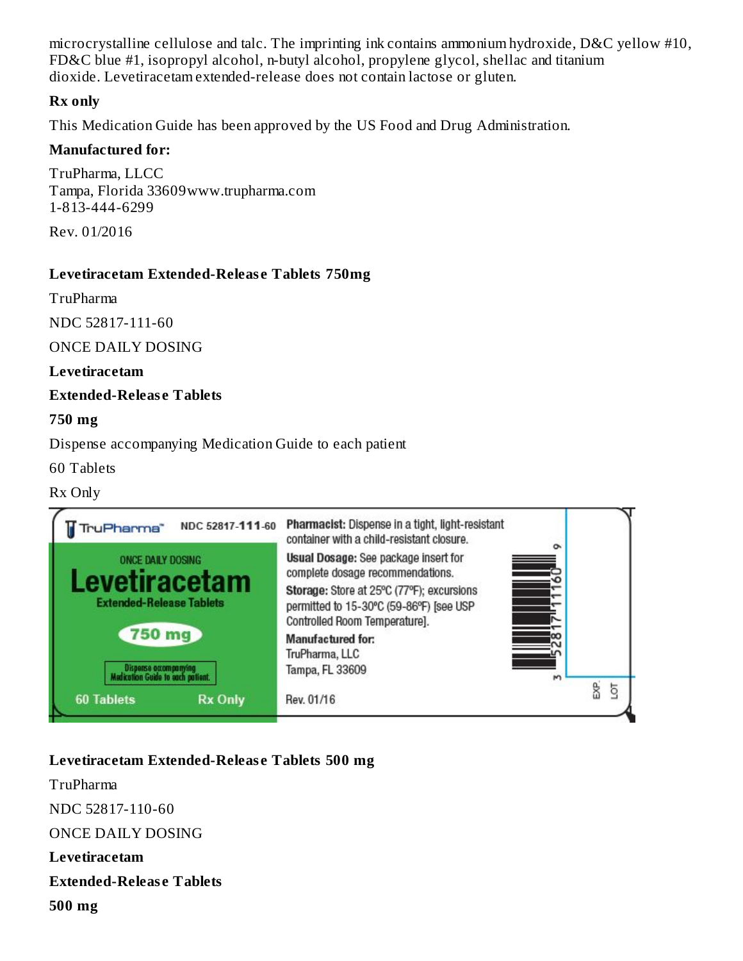microcrystalline cellulose and talc. The imprinting ink contains ammonium hydroxide, D&C yellow #10, FD&C blue #1, isopropyl alcohol, n-butyl alcohol, propylene glycol, shellac and titanium dioxide. Levetiracetam extended-release does not contain lactose or gluten.

#### **Rx only**

This Medication Guide has been approved by the US Food and Drug Administration.

#### **Manufactured for:**

TruPharma, LLCC Tampa, Florida 33609www.trupharma.com 1-813-444-6299

Rev. 01/2016

#### **Levetiracetam Extended-Releas e Tablets 750mg**

TruPharma

NDC 52817-111-60

ONCE DAILY DOSING

#### **Levetiracetam**

#### **Extended-Releas e Tablets**

#### **750 mg**

Dispense accompanying Medication Guide to each patient

60 Tablets

#### Rx Only



# **Levetiracetam Extended-Releas e Tablets 500 mg**

TruPharma NDC 52817-110-60 ONCE DAILY DOSING **Levetiracetam Extended-Releas e Tablets 500 mg**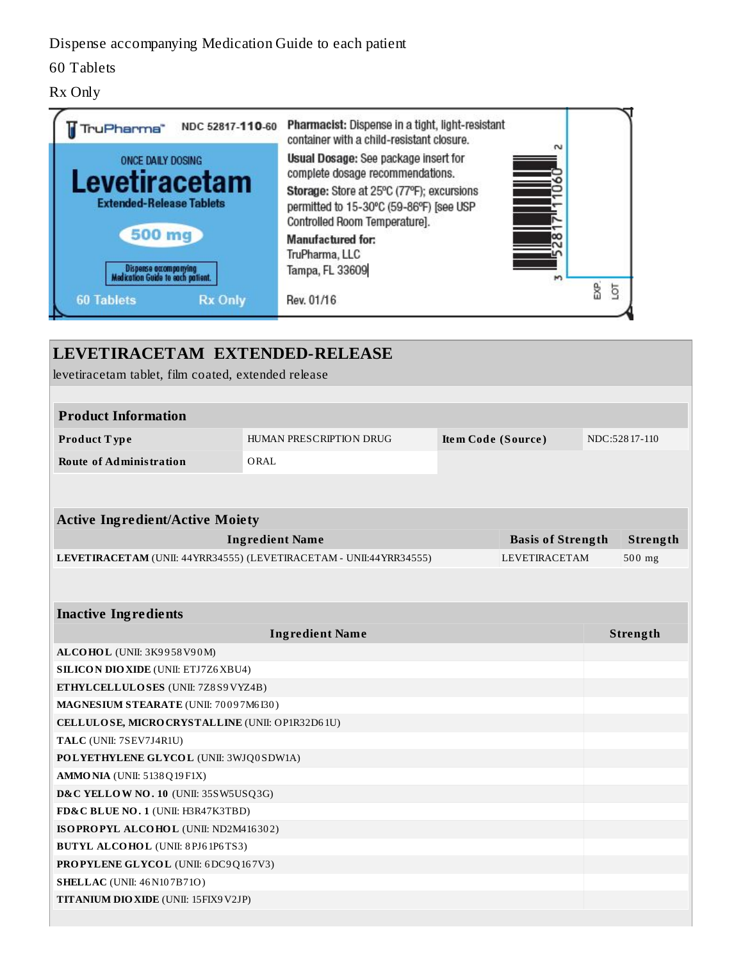### Dispense accompanying Medication Guide to each patient

### 60 Tablets

#### Rx Only



| levetiracetam tablet, film coated, extended release                             |                                                                    |                    |                          |               |
|---------------------------------------------------------------------------------|--------------------------------------------------------------------|--------------------|--------------------------|---------------|
| <b>Product Information</b>                                                      |                                                                    |                    |                          |               |
| Product Type                                                                    | HUMAN PRESCRIPTION DRUG                                            | Item Code (Source) |                          | NDC:52817-110 |
| <b>Route of Administration</b>                                                  | ORAL                                                               |                    |                          |               |
|                                                                                 |                                                                    |                    |                          |               |
| <b>Active Ingredient/Active Moiety</b>                                          |                                                                    |                    |                          |               |
|                                                                                 | <b>Ingredient Name</b>                                             |                    | <b>Basis of Strength</b> | Strength      |
|                                                                                 | LEVETIRACETAM (UNII: 44YRR34555) (LEVETIRACETAM - UNII:44YRR34555) |                    | <b>LEVETIRACETAM</b>     | $500$ mg      |
| <b>Inactive Ingredients</b>                                                     |                                                                    |                    |                          |               |
|                                                                                 | <b>Ingredient Name</b>                                             |                    |                          | Strength      |
| ALCOHOL (UNII: 3K9958V90M)                                                      |                                                                    |                    |                          |               |
| <b>SILICON DIO XIDE (UNII: ETJ7Z6 XBU4)</b>                                     |                                                                    |                    |                          |               |
| ETHYLCELLULOSES (UNII: 7Z8S9VYZ4B)                                              |                                                                    |                    |                          |               |
| MAGNESIUM STEARATE (UNII: 70097M6I30)                                           |                                                                    |                    |                          |               |
| CELLULOSE, MICRO CRYSTALLINE (UNII: OP1R32D61U)                                 |                                                                    |                    |                          |               |
| TALC (UNII: 7SEV7J4R1U)                                                         |                                                                    |                    |                          |               |
| POLYETHYLENE GLYCOL (UNII: 3WJQ0SDW1A)                                          |                                                                    |                    |                          |               |
| AMMONIA (UNII: 5138Q19F1X)                                                      |                                                                    |                    |                          |               |
| D&C YELLOW NO. 10 (UNII: 35SW5USQ3G)                                            |                                                                    |                    |                          |               |
| FD&C BLUE NO. 1 (UNII: H3R47K3TBD)                                              |                                                                    |                    |                          |               |
| ISOPROPYL ALCOHOL (UNII: ND2M416302)<br><b>BUTYL ALCOHOL</b> (UNII: 8PJ61P6TS3) |                                                                    |                    |                          |               |
| PROPYLENE GLYCOL (UNII: 6DC9Q167V3)                                             |                                                                    |                    |                          |               |
| <b>SHELLAC</b> (UNII: 46 N107B71O)                                              |                                                                    |                    |                          |               |
|                                                                                 |                                                                    |                    |                          |               |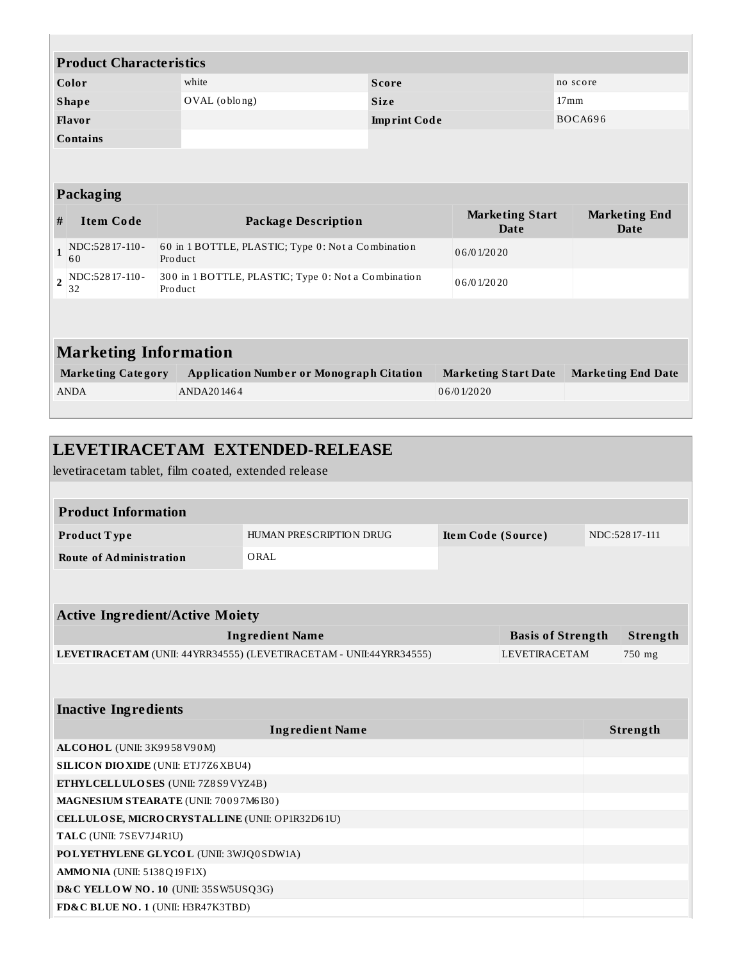|                | <b>Product Characteristics</b>                      |               |                                                     |                     |                                       |                              |
|----------------|-----------------------------------------------------|---------------|-----------------------------------------------------|---------------------|---------------------------------------|------------------------------|
|                | Color<br>white<br><b>Score</b>                      |               |                                                     | no score            |                                       |                              |
|                | <b>Shape</b>                                        | OVAL (oblong) |                                                     | <b>Size</b>         |                                       | 17 <sub>mm</sub>             |
|                | Flavor                                              |               |                                                     | <b>Imprint Code</b> |                                       | BOCA696                      |
|                | <b>Contains</b>                                     |               |                                                     |                     |                                       |                              |
|                |                                                     |               |                                                     |                     |                                       |                              |
|                | Packaging                                           |               |                                                     |                     |                                       |                              |
| #              | <b>Item Code</b>                                    |               | <b>Package Description</b>                          |                     | <b>Marketing Start</b><br><b>Date</b> | <b>Marketing End</b><br>Date |
| $\mathbf{1}$   | NDC:52817-110-<br>60                                | Product       | 60 in 1 BOTTLE, PLASTIC; Type 0: Not a Combination  |                     | 06/01/2020                            |                              |
| $\overline{2}$ | NDC:52817-110-<br>32                                | Product       | 300 in 1 BOTTLE, PLASTIC; Type 0: Not a Combination |                     | 06/01/2020                            |                              |
|                |                                                     |               |                                                     |                     |                                       |                              |
|                | <b>Marketing Information</b>                        |               |                                                     |                     |                                       |                              |
|                | <b>Marketing Category</b>                           |               | <b>Application Number or Monograph Citation</b>     |                     | <b>Marketing Start Date</b>           | <b>Marketing End Date</b>    |
|                | <b>ANDA</b>                                         | ANDA201464    |                                                     |                     | 06/01/2020                            |                              |
|                |                                                     |               |                                                     |                     |                                       |                              |
|                |                                                     |               |                                                     |                     |                                       |                              |
|                |                                                     |               | LEVETIRACETAM EXTENDED-RELEASE                      |                     |                                       |                              |
|                | levetiracetam tablet, film coated, extended release |               |                                                     |                     |                                       |                              |
|                |                                                     |               |                                                     |                     |                                       |                              |
|                | <b>Product Information</b>                          |               |                                                     |                     |                                       |                              |
|                | Product Type                                        |               | HUMAN PRESCRIPTION DRUG                             |                     | Item Code (Source)                    | NDC:52817-111                |

**Route of Administration** ORAL

| <b>Active Ingredient/Active Moiety</b>                             |                          |          |  |  |  |
|--------------------------------------------------------------------|--------------------------|----------|--|--|--|
| <b>Ingredient Name</b>                                             | <b>Basis of Strength</b> | Strength |  |  |  |
| LEVETIRACETAM (UNII: 44YRR34555) (LEVETIRACETAM - UNII:44YRR34555) | LEVETIRACETAM            | 750 mg   |  |  |  |
|                                                                    |                          |          |  |  |  |

**Inactive Ingredients Ingredient Name Strength ALCOHOL** (UNII: 3K9 9 58V9 0M) **SILICON DIOXIDE** (UNII: ETJ7Z6XBU4) **ETHYLCELLULOSES** (UNII: 7Z8 S9VYZ4B) **MAGNESIUM STEARATE** (UNII: 70 0 9 7M6 I30 ) **CELLULOSE, MICROCRYSTALLINE** (UNII: OP1R32D6 1U) **TALC** (UNII: 7SEV7J4R1U) **POLYETHYLENE GLYCOL** (UNII: 3WJQ0 SDW1A) **AMMONIA** (UNII: 5138Q19 F1X) **D&C YELLOW NO. 10** (UNII: 35SW5USQ3G) **FD&C BLUE NO. 1** (UNII: H3R47K3TBD)